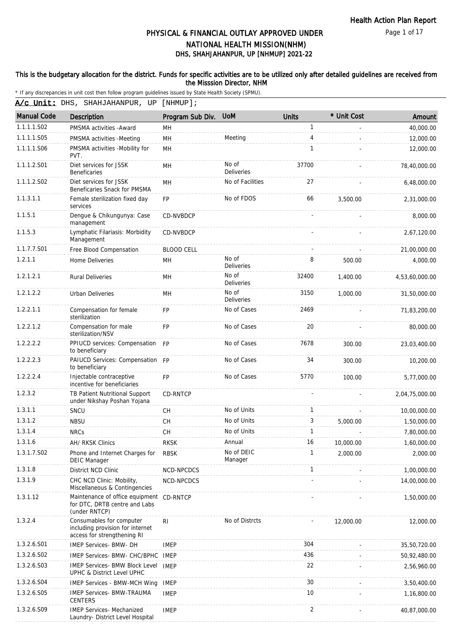Page 1 of 17

# DHS, SHAHJAHANPUR, UP [NHMUP] 2021-22 PHYSICAL & FINANCIAL OUTLAY APPROVED UNDER NATIONAL HEALTH MISSION(NHM)

### This is the budgetary allocation for the district. Funds for specific activities are to be utilized only after detailed guidelines are received from the Misssion Director, NHM

|                    | A/c Unit: DHS, SHAHJAHANPUR, UP                                                             | $[$ NHMUP $]$ ;   |                            |                |             |                |
|--------------------|---------------------------------------------------------------------------------------------|-------------------|----------------------------|----------------|-------------|----------------|
| <b>Manual Code</b> | Description                                                                                 | Program Sub Div.  | <b>UoM</b>                 | <b>Units</b>   | * Unit Cost | Amount         |
| 1.1.1.1.S02        | PMSMA activities - Award                                                                    | <b>MH</b>         |                            | $\mathbf{1}$   |             | 40,000.00      |
| 1.1.1.1.S05        | PMSMA activities - Meeting                                                                  | MH                | Meeting                    | $\overline{4}$ |             | 12,000.00      |
| 1.1.1.1.S06        | PMSMA activities -Mobility for<br>PVT.                                                      | <b>MH</b>         |                            | 1              |             | 12,000.00      |
| 1.1.1.2.S01        | Diet services for JSSK<br>Beneficaries                                                      | MH                | No of<br><b>Deliveries</b> | 37700          |             | 78,40,000.00   |
| 1.1.1.2.S02        | Diet services for JSSK<br>Beneficaries Snack for PMSMA                                      | <b>MH</b>         | No of Facilities           | 27             |             | 6,48,000.00    |
| 1.1.3.1.1          | Female sterilization fixed day<br>services                                                  | <b>FP</b>         | No of FDOS                 | 66             | 3,500.00    | 2,31,000.00    |
| 1.1.5.1            | Dengue & Chikungunya: Case<br>management                                                    | CD-NVBDCP         |                            |                |             | 8,000.00       |
| 1.1.5.3            | Lymphatic Filariasis: Morbidity<br>Management                                               | CD-NVBDCP         |                            |                |             | 2,67,120.00    |
| 1.1.7.7.S01        | Free Blood Compensation                                                                     | <b>BLOOD CELL</b> |                            |                |             | 21,00,000.00   |
| 1.2.1.1            | Home Deliveries                                                                             | MH                | No of<br><b>Deliveries</b> | 8              | 500.00      | 4,000.00       |
| 1.2.1.2.1          | <b>Rural Deliveries</b>                                                                     | MН                | No of<br><b>Deliveries</b> | 32400          | 1,400.00    | 4,53,60,000.00 |
| 1.2.1.2.2          | <b>Urban Deliveries</b>                                                                     | MН                | No of<br><b>Deliveries</b> | 3150           | 1,000.00    | 31,50,000.00   |
| 1.2.2.1.1          | Compensation for female<br>sterilization                                                    | <b>FP</b>         | No of Cases                | 2469           |             | 71,83,200.00   |
| 1.2.2.1.2          | Compensation for male<br>sterilization/NSV                                                  | <b>FP</b>         | No of Cases                | 20             |             | 80,000.00      |
| 1.2.2.2.2          | PPIUCD services: Compensation FP<br>to beneficiary                                          |                   | No of Cases                | 7678           | 300.00      | 23,03,400.00   |
| 1.2.2.2.3          | PAIUCD Services: Compensation FP<br>to beneficiary                                          |                   | No of Cases                | 34             | 300.00      | 10,200.00      |
| 1.2.2.2.4          | Injectable contraceptive<br>incentive for beneficiaries                                     | <b>FP</b>         | No of Cases                | 5770           | 100.00      | 5,77,000.00    |
| 1.2.3.2            | TB Patient Nutritional Support<br>under Nikshay Poshan Yojana                               | CD-RNTCP          |                            |                |             | 2,04,75,000.00 |
| 1.3.1.1            | SNCU                                                                                        | <b>CH</b>         | No of Units                | $\mathbf{1}$   |             | 10,00,000.00   |
| 1.3.1.2            | <b>NBSU</b>                                                                                 | <b>CH</b>         | No of Units                | 3              | 5,000.00    | 1,50,000.00    |
| 1.3.1.4            | <b>NRCs</b>                                                                                 | <b>CH</b>         | No of Units                | $\mathbf{1}$   |             | 7,80,000.00    |
| 1.3.1.6            | AH/ RKSK Clinics                                                                            | <b>RKSK</b>       | Annual                     | 16             | 10,000.00   | 1,60,000.00    |
| 1.3.1.7.S02        | Phone and Internet Charges for<br><b>DEIC Manager</b>                                       | <b>RBSK</b>       | No of DEIC<br>Manager      | 1              | 2.000.00    | 2,000.00       |
| 1.3.1.8            | District NCD Clinic                                                                         | NCD-NPCDCS        |                            | 1              |             | 1,00,000.00    |
| 1.3.1.9            | CHC NCD Clinic: Mobility,<br>Miscellaneous & Contingencies                                  | NCD-NPCDCS        |                            |                |             | 14,00,000.00   |
| 1.3.1.12           | Maintenance of office equipment<br>for DTC, DRTB centre and Labs<br>(under RNTCP)           | CD-RNTCP          |                            |                |             | 1,50,000.00    |
| 1.3.2.4            | Consumables for computer<br>including provision for internet<br>access for strengthening RI | R <sub>l</sub>    | No of Distrcts             |                | 12,000.00   | 12,000.00      |
| 1.3.2.6.S01        | <b>IMEP Services- BMW- DH</b>                                                               | <b>IMEP</b>       |                            | 304            |             | 35,50,720.00   |
| 1.3.2.6.S02        | IMEP Services- BMW- CHC/BPHC                                                                | IMEP              |                            | 436            |             | 50,92,480.00   |
| 1.3.2.6.S03        | <b>IMEP Services- BMW Block Level</b><br>UPHC & District Level UPHC                         | <b>IMEP</b>       |                            | 22             |             | 2,56,960.00    |
| 1.3.2.6.S04        | <b>IMEP Services - BMW-MCH Wing</b>                                                         | <b>IMEP</b>       |                            | 30             |             | 3,50,400.00    |
| 1.3.2.6.S05        | <b>IMEP Services- BMW-TRAUMA</b><br><b>CENTERS</b>                                          | <b>IMEP</b>       |                            | 10             |             | 1,16,800.00    |
| 1.3.2.6.S09        | <b>IMEP Services- Mechanized</b><br>Laundry- District Level Hospital                        | <b>IMEP</b>       |                            | 2              |             | 40,87,000.00   |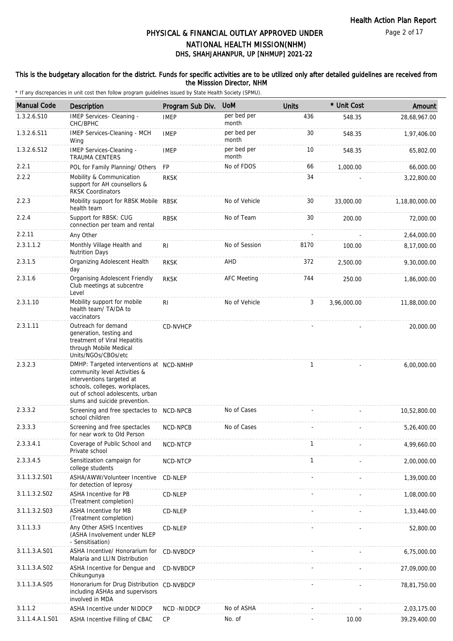### This is the budgetary allocation for the district. Funds for specific activities are to be utilized only after detailed guidelines are received from the Misssion Director, NHM

| <b>Manual Code</b> | <b>Description</b>                                                                                                                                                                                           | Program Sub Div. | <b>UoM</b>           | <b>Units</b> | * Unit Cost | Amount         |
|--------------------|--------------------------------------------------------------------------------------------------------------------------------------------------------------------------------------------------------------|------------------|----------------------|--------------|-------------|----------------|
| 1.3.2.6.S10        | IMEP Services- Cleaning -<br>CHC/BPHC                                                                                                                                                                        | <b>IMEP</b>      | per bed per<br>month | 436          | 548.35      | 28,68,967.00   |
| 1.3.2.6.S11        | IMEP Services-Cleaning - MCH<br>Wing                                                                                                                                                                         | <b>IMEP</b>      | per bed per<br>month | 30           | 548.35      | 1,97,406.00    |
| 1.3.2.6.S12        | IMEP Services-Cleaning -<br><b>TRAUMA CENTERS</b>                                                                                                                                                            | <b>IMEP</b>      | per bed per<br>month | 10           | 548.35      | 65,802.00      |
| 2.2.1              | POL for Family Planning/ Others                                                                                                                                                                              | <b>FP</b>        | No of FDOS           | 66           | 1,000.00    | 66,000.00      |
| 2.2.2              | Mobility & Communication<br>support for AH counsellors &<br><b>RKSK Coordinators</b>                                                                                                                         | <b>RKSK</b>      |                      | 34           |             | 3,22,800.00    |
| 2.2.3              | Mobility support for RBSK Mobile RBSK<br>health team                                                                                                                                                         |                  | No of Vehicle        | 30           | 33,000.00   | 1,18,80,000.00 |
| 2.2.4              | Support for RBSK: CUG<br>connection per team and rental                                                                                                                                                      | <b>RBSK</b>      | No of Team           | 30           | 200.00      | 72,000.00      |
| 2.2.11             | Any Other                                                                                                                                                                                                    |                  |                      |              |             | 2,64,000.00    |
| 2.3.1.1.2          | Monthly Village Health and<br><b>Nutrition Days</b>                                                                                                                                                          | <b>RI</b>        | No of Session        | 8170         | 100.00      | 8,17,000.00    |
| 2.3.1.5            | Organizing Adolescent Health<br>day                                                                                                                                                                          | <b>RKSK</b>      | AHD                  | 372          | 2,500.00    | 9,30,000.00    |
| 2.3.1.6            | <b>Organising Adolescent Friendly</b><br>Club meetings at subcentre<br>Level                                                                                                                                 | <b>RKSK</b>      | <b>AFC Meeting</b>   | 744          | 250.00      | 1,86,000.00    |
| 2.3.1.10           | Mobility support for mobile<br>health team/ TA/DA to<br>vaccinators                                                                                                                                          | RI               | No of Vehicle        | 3            | 3,96,000.00 | 11,88,000.00   |
| 2.3.1.11           | Outreach for demand<br>generation, testing and<br>treatment of Viral Hepatitis<br>through Mobile Medical<br>Units/NGOs/CBOs/etc                                                                              | <b>CD-NVHCP</b>  |                      |              |             | 20,000.00      |
| 2.3.2.3            | DMHP: Targeted interventions at NCD-NMHP<br>community level Activities &<br>interventions targeted at<br>schools, colleges, workplaces,<br>out of school adolescents, urban<br>slums and suicide prevention. |                  |                      | 1            |             | 6,00,000.00    |
| 2.3.3.2            | Screening and free spectacles to NCD-NPCB<br>school children                                                                                                                                                 |                  | No of Cases          |              |             | 10,52,800.00   |
| 2.3.3.3            | Screening and free spectacles<br>for near work to Old Person                                                                                                                                                 | NCD-NPCB         | No of Cases          |              |             | 5,26,400.00    |
| 2.3.3.4.1          | Coverage of Public School and<br>Private school                                                                                                                                                              | NCD-NTCP         |                      | 1            |             | 4,99,660.00    |
| 2.3.3.4.5          | Sensitization campaign for<br>college students                                                                                                                                                               | NCD-NTCP         |                      | 1            |             | 2,00,000.00    |
| 3.1.1.3.2.S01      | ASHA/AWW/Volunteer Incentive<br>for detection of leprosy                                                                                                                                                     | CD-NLEP          |                      |              |             | 1,39,000.00    |
| 3.1.1.3.2.S02      | ASHA Incentive for PB<br>(Treatment completion)                                                                                                                                                              | CD-NLEP          |                      |              |             | 1,08,000.00    |
| 3.1.1.3.2.S03      | ASHA Incentive for MB<br>(Treatment completion)                                                                                                                                                              | CD-NLEP          |                      |              |             | 1,33,440.00    |
| 3.1.1.3.3          | Any Other ASHS Incentives<br>(ASHA Involvement under NLEP<br>- Sensitisation)                                                                                                                                | CD-NLEP          |                      |              |             | 52,800.00      |
| 3.1.1.3.A.S01      | ASHA Incentive/ Honorarium for<br>Malaria and LLIN Distribution                                                                                                                                              | CD-NVBDCP        |                      |              |             | 6,75,000.00    |
| 3.1.1.3.A.S02      | ASHA Incentive for Dengue and<br>Chikungunya                                                                                                                                                                 | CD-NVBDCP        |                      |              |             | 27,09,000.00   |
| 3.1.1.3.A.S05      | Honorarium for Drug Distribution CD-NVBDCP<br>including ASHAs and supervisors<br>involved in MDA                                                                                                             |                  |                      |              |             | 78,81,750.00   |
| 3.1.1.2            | ASHA Incentive under NIDDCP                                                                                                                                                                                  | NCD-NIDDCP       | No of ASHA           |              |             | 2,03,175.00    |
| 3.1.1.4.A.1.S01    | ASHA Incentive Filling of CBAC                                                                                                                                                                               | CP               | No. of               |              | 10.00       | 39,29,400.00   |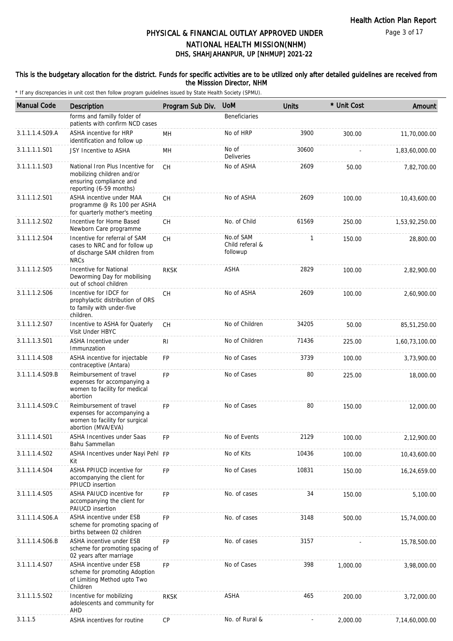### This is the budgetary allocation for the district. Funds for specific activities are to be utilized only after detailed guidelines are received from the Misssion Director, NHM

| <b>Manual Code</b> | Description                                                                                                          | Program Sub Div. | <b>UoM</b>                               | <b>Units</b> | * Unit Cost | Amount         |
|--------------------|----------------------------------------------------------------------------------------------------------------------|------------------|------------------------------------------|--------------|-------------|----------------|
|                    | forms and familly folder of<br>patients with confirm NCD cases                                                       |                  | <b>Beneficiaries</b>                     |              |             |                |
| 3.1.1.1.4.S09.A    | ASHA incentive for HRP<br>identification and follow up                                                               | MН               | No of HRP                                | 3900         | 300.00      | 11,70,000.00   |
| 3.1.1.1.1.S01      | JSY Incentive to ASHA                                                                                                | MН               | No of<br>Deliveries                      | 30600        |             | 1,83,60,000.00 |
| 3.1.1.1.1.S03      | National Iron Plus Incentive for<br>mobilizing children and/or<br>ensuring compliance and<br>reporting (6-59 months) | <b>CH</b>        | No of ASHA                               | 2609         | 50.00       | 7,82,700.00    |
| 3.1.1.1.2.S01      | ASHA incentive under MAA<br>programme @ Rs 100 per ASHA<br>for quarterly mother's meeting                            | CH               | No of ASHA                               | 2609         | 100.00      | 10,43,600.00   |
| 3.1.1.1.2.S02      | Incentive for Home Based<br>Newborn Care programme                                                                   | CH               | No. of Child                             | 61569        | 250.00      | 1,53,92,250.00 |
| 3.1.1.1.2.S04      | Incentive for referral of SAM<br>cases to NRC and for follow up<br>of discharge SAM children from<br><b>NRCs</b>     | СH               | No.of SAM<br>Child referal &<br>followup | 1            | 150.00      | 28,800.00      |
| 3.1.1.1.2.S05      | Incentive for National<br>Deworming Day for mobilising<br>out of school children                                     | <b>RKSK</b>      | <b>ASHA</b>                              | 2829         | 100.00      | 2,82,900.00    |
| 3.1.1.1.2.S06      | Incentive for IDCF for<br>prophylactic distribution of ORS<br>to family with under-five<br>children.                 | СH               | No of ASHA                               | 2609         | 100.00      | 2,60,900.00    |
| 3.1.1.1.2.S07      | Incentive to ASHA for Quaterly<br>Visit Under HBYC                                                                   | СH               | No of Children                           | 34205        | 50.00       | 85,51,250.00   |
| 3.1.1.1.3.S01      | ASHA Incentive under<br>Immunzation                                                                                  | RI               | No of Children                           | 71436        | 225.00      | 1,60,73,100.00 |
| 3.1.1.1.4.S08      | ASHA incentive for injectable<br>contraceptive (Antara)                                                              | <b>FP</b>        | No of Cases                              | 3739         | 100.00      | 3,73,900.00    |
| 3.1.1.1.4.S09.B    | Reimbursement of travel<br>expenses for accompanying a<br>women to facility for medical<br>abortion                  | <b>FP</b>        | No of Cases                              | 80           | 225.00      | 18,000.00      |
| 3.1.1.1.4.S09.C    | Reimbursement of travel<br>expenses for accompanying a<br>women to facility for surgical<br>abortion (MVA/EVA)       | <b>FP</b>        | No of Cases                              | 80           | 150.00      | 12,000.00      |
| 3.1.1.1.4.S01      | ASHA Incentives under Saas<br>Bahu Sammellan                                                                         | FP               | No of Events                             | 2129         | 100.00      | 2,12,900.00    |
| 3.1.1.1.4.S02      | ASHA Incentives under Nayi Pehl FP<br>Kit                                                                            |                  | No of Kits                               | 10436        | 100.00      | 10,43,600.00   |
| 3.1.1.1.4.S04      | ASHA PPIUCD incentive for<br>accompanying the client for<br>PPIUCD insertion                                         | <b>FP</b>        | No of Cases                              | 10831        | 150.00      | 16,24,659.00   |
| 3.1.1.1.4.S05      | ASHA PAIUCD incentive for<br>accompanying the client for<br>PAIUCD insertion                                         | <b>FP</b>        | No. of cases                             | 34           | 150.00      | 5,100.00       |
| 3.1.1.1.4.S06.A    | ASHA incentive under ESB<br>scheme for promoting spacing of<br>births between 02 children                            | <b>FP</b>        | No. of cases                             | 3148         | 500.00      | 15,74,000.00   |
| 3.1.1.1.4.S06.B    | ASHA incentive under ESB<br>scheme for promoting spacing of<br>02 years after marriage                               | <b>FP</b>        | No. of cases                             | 3157         |             | 15,78,500.00   |
| 3.1.1.1.4.S07      | ASHA incentive under ESB<br>scheme for promoting Adoption<br>of Limiting Method upto Two<br>Children                 | <b>FP</b>        | No of Cases                              | 398          | 1,000.00    | 3,98,000.00    |
| 3.1.1.1.5.S02      | Incentive for mobilizing<br>adolescents and community for<br>AHD                                                     | <b>RKSK</b>      | ASHA                                     | 465          | 200.00      | 3,72,000.00    |
| 3.1.1.5            | ASHA incentives for routine                                                                                          | <b>CP</b>        | No. of Rural &                           |              | 2,000.00    | 7,14,60,000.00 |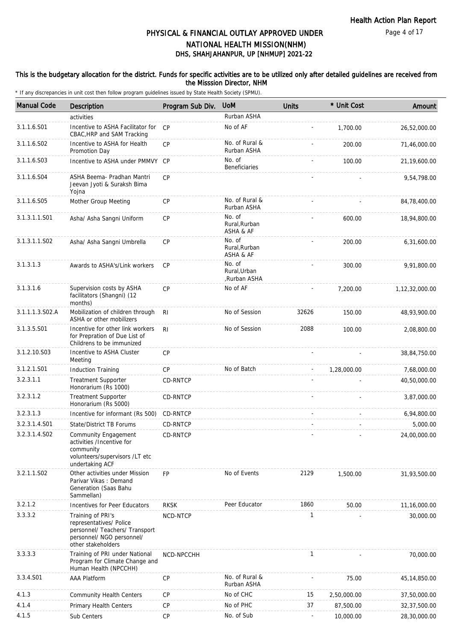### This is the budgetary allocation for the district. Funds for specific activities are to be utilized only after detailed guidelines are received from the Misssion Director, NHM

| <b>Manual Code</b> | Description                                                                                                                       | Program Sub Div. | <b>UoM</b>                            | <b>Units</b> | * Unit Cost | Amount         |
|--------------------|-----------------------------------------------------------------------------------------------------------------------------------|------------------|---------------------------------------|--------------|-------------|----------------|
|                    | activities                                                                                                                        |                  | Rurban ASHA                           |              |             |                |
| 3.1.1.6.S01        | Incentive to ASHA Facilitator for<br>CBAC, HRP and SAM Tracking                                                                   | CP               | No of AF                              |              | 1,700.00    | 26,52,000.00   |
| 3.1.1.6.S02        | Incentive to ASHA for Health<br>Promotion Day                                                                                     | CP               | No. of Rural &<br>Rurban ASHA         |              | 200.00      | 71,46,000.00   |
| 3.1.1.6.S03        | Incentive to ASHA under PMMVY CP                                                                                                  |                  | No. of<br>Beneficiaries               |              | 100.00      | 21, 19, 600.00 |
| 3.1.1.6.S04        | ASHA Beema- Pradhan Mantri<br>Jeevan Jyoti & Suraksh Bima<br>Yojna                                                                | CP               |                                       |              |             | 9,54,798.00    |
| 3.1.1.6.S05        | Mother Group Meeting                                                                                                              | <b>CP</b>        | No. of Rural &<br>Rurban ASHA         |              |             | 84,78,400.00   |
| 3.1.3.1.1.S01      | Asha/ Asha Sangni Uniform                                                                                                         | <b>CP</b>        | No. of<br>Rural, Rurban<br>ASHA & AF  |              | 600.00      | 18,94,800.00   |
| 3.1.3.1.1.S02      | Asha/ Asha Sangni Umbrella                                                                                                        | <b>CP</b>        | No. of<br>Rural, Rurban<br>ASHA & AF  |              | 200.00      | 6,31,600.00    |
| 3.1.3.1.3          | Awards to ASHA's/Link workers                                                                                                     | <b>CP</b>        | No. of<br>Rural.Urban<br>,Rurban ASHA |              | 300.00      | 9,91,800.00    |
| 3.1.3.1.6          | Supervision costs by ASHA<br>facilitators (Shangni) (12<br>months)                                                                | <b>CP</b>        | No of AF                              |              | 7,200.00    | 1,12,32,000.00 |
| 3.1.1.1.3.S02.A    | Mobilization of children through<br>ASHA or other mobilizers                                                                      | <b>RI</b>        | No of Session                         | 32626        | 150.00      | 48,93,900.00   |
| 3.1.3.5.S01        | Incentive for other link workers<br>for Prepration of Due List of<br>Childrens to be immunized                                    | R <sub>l</sub>   | No of Session                         | 2088         | 100.00      | 2,08,800.00    |
| 3.1.2.10.S03       | Incentive to ASHA Cluster<br>Meeting                                                                                              | <b>CP</b>        |                                       |              |             | 38,84,750.00   |
| 3.1.2.1.S01        | <b>Induction Training</b>                                                                                                         | CP               | No of Batch                           |              | 1,28,000.00 | 7,68,000.00    |
| 3.2.3.1.1          | <b>Treatment Supporter</b><br>Honorarium (Rs 1000)                                                                                | <b>CD-RNTCP</b>  |                                       |              |             | 40,50,000.00   |
| 3.2.3.1.2          | <b>Treatment Supporter</b><br>Honorarium (Rs 5000)                                                                                | CD-RNTCP         |                                       |              |             | 3,87,000.00    |
| 3.2.3.1.3          | Incentive for informant (Rs 500)                                                                                                  | CD-RNTCP         |                                       |              |             | 6,94,800.00    |
| 3.2.3.1.4.S01      | <b>State/District TB Forums</b>                                                                                                   | CD-RNTCP         |                                       |              |             | 5,000.00       |
| 3.2.3.1.4.S02      | Community Engagement<br>activities /Incentive for<br>community<br>volunteers/supervisors /LT etc<br>undertaking ACF               | CD-RNTCP         |                                       |              |             | 24.00.000.00   |
| 3.2.1.1.S02        | Other activities under Mission<br>Parivar Vikas: Demand<br>Generation (Saas Bahu<br>Sammellan)                                    | <b>FP</b>        | No of Events                          | 2129         | 1,500.00    | 31,93,500.00   |
| 3.2.1.2            | Incentives for Peer Educators                                                                                                     | <b>RKSK</b>      | Peer Educator                         | 1860         | 50.00       | 11,16,000.00   |
| 3.3.3.2            | Training of PRI's<br>representatives/ Police<br>personnel/ Teachers/ Transport<br>personnel/ NGO personnel/<br>other stakeholders | NCD-NTCP         |                                       | $\mathbf{1}$ |             | 30,000.00      |
| 3.3.3.3            | Training of PRI under National<br>Program for Climate Change and<br>Human Health (NPCCHH)                                         | NCD-NPCCHH       |                                       | $\mathbf{1}$ |             | 70,000.00      |
| 3.3.4.S01          | <b>AAA Platform</b>                                                                                                               | CP               | No. of Rural &<br>Rurban ASHA         |              | 75.00       | 45, 14, 850.00 |
| 4.1.3              | <b>Community Health Centers</b>                                                                                                   | <b>CP</b>        | No of CHC                             | 15           | 2,50,000.00 | 37,50,000.00   |
| 4.1.4              | Primary Health Centers                                                                                                            | <b>CP</b>        | No of PHC                             | 37           | 87,500.00   | 32,37,500.00   |
| 4.1.5              | Sub Centers                                                                                                                       | CP               | No. of Sub                            |              | 10,000.00   | 28,30,000.00   |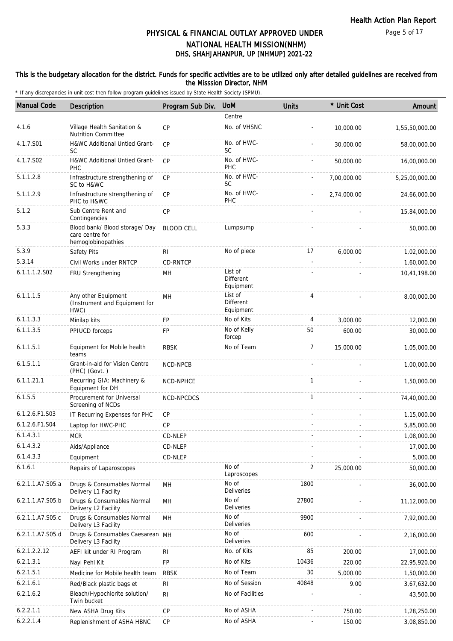### This is the budgetary allocation for the district. Funds for specific activities are to be utilized only after detailed guidelines are received from the Misssion Director, NHM

| <b>Manual Code</b> | Description                                                             | Program Sub Div.  | <b>UoM</b>                        | Units        | * Unit Cost | Amount         |
|--------------------|-------------------------------------------------------------------------|-------------------|-----------------------------------|--------------|-------------|----------------|
|                    |                                                                         |                   | Centre                            |              |             |                |
| 4.1.6              | Village Health Sanitation &<br><b>Nutrition Committee</b>               | <b>CP</b>         | No. of VHSNC                      |              | 10,000.00   | 1,55,50,000.00 |
| 4.1.7.S01          | H&WC Additional Untied Grant-<br><b>SC</b>                              | CP                | No. of HWC-<br><b>SC</b>          |              | 30,000.00   | 58,00,000.00   |
| 4.1.7.S02          | H&WC Additional Untied Grant-<br><b>PHC</b>                             | CP                | No. of HWC-<br>PHC                |              | 50,000.00   | 16,00,000.00   |
| 5.1.1.2.8          | Infrastructure strengthening of<br>SC to H&WC                           | <b>CP</b>         | No. of HWC-<br><b>SC</b>          |              | 7,00,000.00 | 5,25,00,000.00 |
| 5.1.1.2.9          | Infrastructure strengthening of<br>PHC to H&WC                          | CP                | No. of HWC-<br>PHC                |              | 2,74,000.00 | 24,66,000.00   |
| 5.1.2              | Sub Centre Rent and<br>Contingencies                                    | CP                |                                   |              |             | 15,84,000.00   |
| 5.3.3              | Blood bank/ Blood storage/ Day<br>care centre for<br>hemoglobinopathies | <b>BLOOD CELL</b> | Lumpsump                          |              |             | 50,000.00      |
| 5.3.9              | Safety Pits                                                             | R <sub>l</sub>    | No of piece                       | 17           | 6,000.00    | 1,02,000.00    |
| 5.3.14             | Civil Works under RNTCP                                                 | CD-RNTCP          |                                   |              |             | 1,60,000.00    |
| 6.1.1.1.2.S02      | FRU Strengthening                                                       | MH                | List of<br>Different<br>Equipment |              |             | 10,41,198.00   |
| 6.1.1.1.5          | Any other Equipment<br>(Instrument and Equipment for<br>HWC)            | MH                | List of<br>Different<br>Equipment | 4            |             | 8,00,000.00    |
| 6.1.1.3.3          | Minilap kits                                                            | <b>FP</b>         | No of Kits                        | 4            | 3,000.00    | 12,000.00      |
| 6.1.1.3.5          | PPIUCD forceps                                                          | FP                | No of Kelly<br>forcep             | 50           | 600.00      | 30,000.00      |
| 6.1.1.5.1          | Equipment for Mobile health<br>teams                                    | <b>RBSK</b>       | No of Team                        | 7            | 15,000.00   | 1,05,000.00    |
| 6.1.5.1.1          | Grant-in-aid for Vision Centre<br>(PHC) (Govt.)                         | NCD-NPCB          |                                   |              |             | 1,00,000.00    |
| 6.1.1.21.1         | Recurring GIA: Machinery &<br>Equipment for DH                          | NCD-NPHCE         |                                   | $\mathbf{1}$ |             | 1,50,000.00    |
| 6.1.5.5            | Procurement for Universal<br>Screening of NCDs                          | NCD-NPCDCS        |                                   | $\mathbf{1}$ |             | 74,40,000.00   |
| 6.1.2.6.F1.S03     | IT Recurring Expenses for PHC                                           | CP                |                                   |              |             | 1,15,000.00    |
| 6.1.2.6.F1.S04     | Laptop for HWC-PHC                                                      | CP                |                                   |              |             | 5,85,000.00    |
| 6.1.4.3.1          | <b>MCR</b>                                                              | CD-NLEP           |                                   |              |             | 1,08,000.00    |
| 6.1.4.3.2          | Aids/Appliance                                                          | CD-NLEP           |                                   |              |             | 17,000.00      |
| 6.1.4.3.3          | Equipment                                                               | CD-NLEP           |                                   |              |             | 5,000.00       |
| 6.1.6.1            | Repairs of Laparoscopes                                                 |                   | No of<br>Laproscopes              | 2            | 25,000.00   | 50,000.00      |
| 6.2.1.1.A7.S05.a   | Drugs & Consumables Normal<br>Delivery L1 Facility                      | MН                | No of<br>Deliveries               | 1800         |             | 36,000.00      |
| 6.2.1.1.A7.S05.b   | Drugs & Consumables Normal<br>Delivery L2 Facility                      | MH                | No of<br>Deliveries               | 27800        |             | 11,12,000.00   |
| 6.2.1.1.A7.S05.c   | Drugs & Consumables Normal<br>Delivery L3 Facility                      | MH                | No of<br>Deliveries               | 9900         |             | 7,92,000.00    |
| 6.2.1.1.A7.S05.d   | Drugs & Consumables Caesarean MH<br>Delivery L3 Facility                |                   | No of<br>Deliveries               | 600          |             | 2,16,000.00    |
| 6.2.1.2.2.12       | AEFI kit under RI Program                                               | R <sub>l</sub>    | No. of Kits                       | 85           | 200.00      | 17,000.00      |
| 6.2.1.3.1          | Nayi Pehl Kit                                                           | FP                | No of Kits                        | 10436        | 220.00      | 22,95,920.00   |
| 6.2.1.5.1          | Medicine for Mobile health team                                         | <b>RBSK</b>       | No of Team                        | 30           | 5,000.00    | 1,50,000.00    |
| 6.2.1.6.1          | Red/Black plastic bags et                                               | R <sub>l</sub>    | No of Session                     | 40848        | 9.00        | 3,67,632.00    |
| 6.2.1.6.2          | Bleach/Hypochlorite solution/<br>Twin bucket                            | R <sub>l</sub>    | No of Facilities                  |              |             | 43,500.00      |
| 6.2.2.1.1          | New ASHA Drug Kits                                                      | <b>CP</b>         | No of ASHA                        |              | 750.00      | 1,28,250.00    |
| 6.2.2.1.4          | Replenishment of ASHA HBNC                                              | CP                | No of ASHA                        |              | 150.00      | 3,08,850.00    |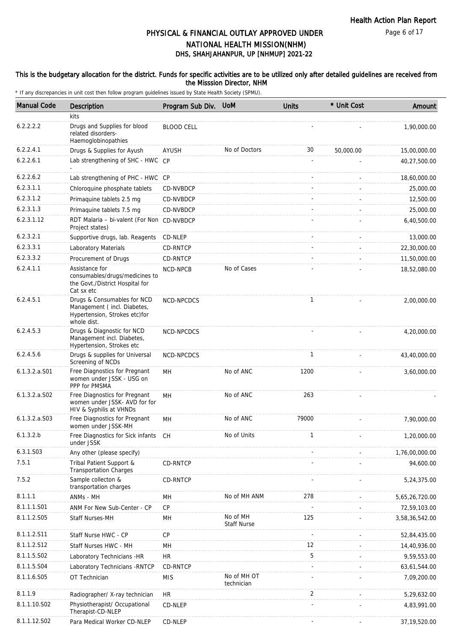#### This is the budgetary allocation for the district. Funds for specific activities are to be utilized only after detailed guidelines are received from the Misssion Director, NHM

| <b>Manual Code</b> | <b>Description</b>                                                                                         | Program Sub Div.  | <b>UoM</b>                     | <b>Units</b> | * Unit Cost | Amount         |
|--------------------|------------------------------------------------------------------------------------------------------------|-------------------|--------------------------------|--------------|-------------|----------------|
|                    | kits                                                                                                       |                   |                                |              |             |                |
| 6.2.2.2.2          | Drugs and Supplies for blood<br>related disorders-<br>Haemoglobinopathies                                  | <b>BLOOD CELL</b> |                                |              |             | 1,90,000.00    |
| 6.2.2.4.1          | Drugs & Supplies for Ayush                                                                                 | AYUSH             | No of Doctors                  | 30           | 50,000.00   | 15,00,000.00   |
| 6.2.2.6.1          | Lab strengthening of SHC - HWC CP                                                                          |                   |                                | ÷.           |             | 40,27,500.00   |
| 6.2.2.6.2          | Lab strengthening of PHC - HWC CP                                                                          |                   |                                |              |             | 18,60,000.00   |
| 6.2.3.1.1          | Chloroquine phosphate tablets                                                                              | CD-NVBDCP         |                                |              |             | 25,000.00      |
| 6.2.3.1.2          | Primaquine tablets 2.5 mg                                                                                  | CD-NVBDCP         |                                |              |             | 12,500.00      |
| 6.2.3.1.3          | Primaquine tablets 7.5 mg                                                                                  | CD-NVBDCP         |                                |              |             | 25,000.00      |
| 6.2.3.1.12         | RDT Malaria - bi-valent (For Non CD-NVBDCP<br>Project states)                                              |                   |                                |              |             | 6,40,500.00    |
| 6.2.3.2.1          | Supportive drugs, lab. Reagents CD-NLEP                                                                    |                   |                                |              |             | 13,000.00      |
| 6.2.3.3.1          | Laboratory Materials                                                                                       | CD-RNTCP          |                                |              |             | 22,30,000.00   |
| 6.2.3.3.2          | Procurement of Drugs                                                                                       | <b>CD-RNTCP</b>   |                                |              |             | 11,50,000.00   |
| 6.2.4.1.1          | Assistance for<br>consumables/drugs/medicines to<br>the Govt./District Hospital for<br>Cat sx etc          | NCD-NPCB          | No of Cases                    |              |             | 18,52,080.00   |
| 6.2.4.5.1          | Drugs & Consumables for NCD<br>Management (incl. Diabetes,<br>Hypertension, Strokes etc)for<br>whole dist. | NCD-NPCDCS        |                                | $\mathbf{1}$ |             | 2,00,000.00    |
| 6.2.4.5.3          | Drugs & Diagnostic for NCD<br>Management incl. Diabetes,<br>Hypertension, Strokes etc                      | NCD-NPCDCS        |                                |              |             | 4,20,000.00    |
| 6.2.4.5.6          | Drugs & supplies for Universal<br>Screening of NCDs                                                        | NCD-NPCDCS        |                                | $\mathbf{1}$ |             | 43,40,000.00   |
| 6.1.3.2.a.S01      | Free Diagnostics for Pregnant<br>women under JSSK - USG on<br>PPP for PMSMA                                | MH                | No of ANC                      | 1200         |             | 3,60,000.00    |
| $6.1.3.2.a.$ SO2   | Free Diagnostics for Pregnant<br>women under JSSK- AVD for for<br>HIV & Syphilis at VHNDs                  | MН                | No of ANC                      | 263          |             |                |
| $6.1.3.2.a.$ SO3   | Free Diagnostics for Pregnant<br>women under JSSK-MH                                                       | MН                | No of ANC                      | 79000        |             | 7,90,000.00    |
| 6.1.3.2.b          | Free Diagnostics for Sick infants CH<br>under JSSK                                                         |                   | No of Units                    | 1            |             | 1,20,000.00    |
| 6.3.1.S03          | Any other (please specify)                                                                                 |                   |                                |              |             | 1,76,00,000.00 |
| 7.5.1              | Tribal Patient Support &<br><b>Transportation Charges</b>                                                  | CD-RNTCP          |                                |              |             | 94,600.00      |
| 7.5.2              | Sample collecton &<br>transportation charges                                                               | CD-RNTCP          |                                |              |             | 5,24,375.00    |
| 8.1.1.1            | ANMs - MH                                                                                                  | MН                | No of MH ANM                   | 278          |             | 5,65,26,720.00 |
| 8.1.1.1.S01        | ANM For New Sub-Center - CP                                                                                | СP                |                                |              |             | 72,59,103.00   |
| 8.1.1.2.S05        | Staff Nurses-MH                                                                                            | MH                | No of MH<br><b>Staff Nurse</b> | 125          |             | 3,58,36,542.00 |
| 8.1.1.2.S11        | Staff Nurse HWC - CP                                                                                       | CP                |                                |              |             | 52,84,435.00   |
| 8.1.1.2.S12        | Staff Nurses HWC - MH                                                                                      | MH                |                                | 12           |             | 14,40,936.00   |
| 8.1.1.5.S02        | Laboratory Technicians -HR                                                                                 | <b>HR</b>         |                                | 5            |             | 9,59,553.00    |
| 8.1.1.5.S04        | Laboratory Technicians - RNTCP                                                                             | CD-RNTCP          |                                |              |             | 63,61,544.00   |
| 8.1.1.6.S05        | OT Technician                                                                                              | <b>MIS</b>        | No of MH OT<br>technician      |              |             | 7,09,200.00    |
| 8.1.1.9            | Radiographer/ X-ray technician                                                                             | <b>HR</b>         |                                | 2            |             | 5,29,632.00    |
| 8.1.1.10.S02       | Physiotherapist/ Occupational<br>Therapist-CD-NLEP                                                         | CD-NLEP           |                                |              |             | 4,83,991.00    |
| 8.1.1.12.S02       | Para Medical Worker CD-NLEP                                                                                | CD-NLEP           |                                |              |             | 37, 19, 520.00 |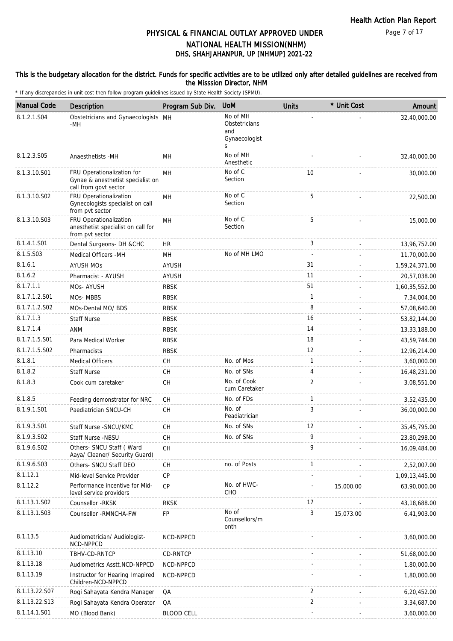#### This is the budgetary allocation for the district. Funds for specific activities are to be utilized only after detailed guidelines are received from the Misssion Director, NHM

| <b>Manual Code</b> | <b>Description</b>                                                                       | Program Sub Div.  | <b>UoM</b>                                             | <b>Units</b>   | * Unit Cost | Amount         |
|--------------------|------------------------------------------------------------------------------------------|-------------------|--------------------------------------------------------|----------------|-------------|----------------|
| 8.1.2.1.S04        | Obstetricians and Gynaecologists MH<br>-MH                                               |                   | No of MH<br>Obstetricians<br>and<br>Gynaecologist<br>S |                |             | 32,40,000.00   |
| 8.1.2.3.S05        | Anaesthetists -MH                                                                        | <b>MH</b>         | No of MH<br>Anesthetic                                 |                |             | 32,40,000.00   |
| 8.1.3.10.S01       | FRU Operationalization for<br>Gynae & anesthetist specialist on<br>call from govt sector | MH                | No of C<br>Section                                     | 10             |             | 30,000.00      |
| 8.1.3.10.S02       | FRU Operationalization<br>Gynecologists specialist on call<br>from pvt sector            | MH                | No of C<br>Section                                     | 5              |             | 22,500.00      |
| 8.1.3.10.S03       | FRU Operationalization<br>anesthetist specialist on call for<br>from pvt sector          | <b>MH</b>         | No of C<br>Section                                     | 5              |             | 15,000.00      |
| 8.1.4.1.S01        | Dental Surgeons- DH &CHC                                                                 | <b>HR</b>         |                                                        | 3              |             | 13,96,752.00   |
| 8.1.5.S03          | Medical Officers - MH                                                                    | MH                | No of MH LMO                                           |                |             | 11,70,000.00   |
| 8.1.6.1            | <b>AYUSH MOS</b>                                                                         | <b>AYUSH</b>      |                                                        | 31             |             | 1,59,24,371.00 |
| 8.1.6.2            | Pharmacist - AYUSH                                                                       | <b>AYUSH</b>      |                                                        | 11             |             | 20,57,038.00   |
| 8.1.7.1.1          | MOs-AYUSH                                                                                | <b>RBSK</b>       |                                                        | 51             |             | 1,60,35,552.00 |
| 8.1.7.1.2.S01      | MO <sub>S</sub> -MBB <sub>S</sub>                                                        | <b>RBSK</b>       |                                                        | $\mathbf{1}$   |             | 7,34,004.00    |
| 8.1.7.1.2.S02      | MOs-Dental MO/ BDS                                                                       | <b>RBSK</b>       |                                                        | 8              |             | 57,08,640.00   |
| 8.1.7.1.3          | <b>Staff Nurse</b>                                                                       | <b>RBSK</b>       |                                                        | 16             |             | 53,82,144.00   |
| 8.1.7.1.4          | <b>ANM</b>                                                                               | <b>RBSK</b>       |                                                        | 14             |             | 13,33,188.00   |
| 8.1.7.1.5.S01      | Para Medical Worker                                                                      | <b>RBSK</b>       |                                                        | 18             |             | 43,59,744.00   |
| 8.1.7.1.5.S02      | Pharmacists                                                                              | <b>RBSK</b>       |                                                        | 12             |             | 12,96,214.00   |
| 8.1.8.1            | <b>Medical Officers</b>                                                                  | <b>CH</b>         | No. of Mos                                             | $\mathbf{1}$   |             | 3,60,000.00    |
| 8.1.8.2            | <b>Staff Nurse</b>                                                                       | СH                | No. of SNs                                             | 4              |             | 16,48,231.00   |
| 8.1.8.3            | Cook cum caretaker                                                                       | CH                | No. of Cook<br>cum Caretaker                           | 2              |             | 3,08,551.00    |
| 8.1.8.5            | Feeding demonstrator for NRC                                                             | СH                | No. of FDs                                             | $\mathbf{1}$   |             | 3,52,435.00    |
| 8.1.9.1.S01        | Paediatrician SNCU-CH                                                                    | CH                | No. of<br>Peadiatrician                                | 3              |             | 36,00,000.00   |
| 8.1.9.3.S01        | Staff Nurse - SNCU/KMC                                                                   | <b>CH</b>         | No. of SNs                                             | 12             |             | 35,45,795.00   |
| 8.1.9.3.SO2        | Staff Nurse -NBSU                                                                        | CH                | No. of SNs                                             | 9              |             | 23,80,298.00   |
| 8.1.9.6.SO2        | Others- SNCU Staff ( Ward<br>Aaya/ Cleaner/ Security Guard)                              | <b>CH</b>         |                                                        | 9              |             | 16,09,484.00   |
| 8.1.9.6.S03        | Others- SNCU Staff DEO                                                                   | СH                | no. of Posts                                           | 1              |             | 2,52,007.00    |
| 8.1.12.1           | Mid-level Service Provider                                                               | CP                |                                                        |                |             | 1,09,13,445.00 |
| 8.1.12.2           | Performance incentive for Mid-<br>level service providers                                | CP                | No. of HWC-<br>CHO                                     |                | 15,000.00   | 63,90,000.00   |
| 8.1.13.1.S02       | Counsellor -RKSK                                                                         | <b>RKSK</b>       |                                                        | 17             |             | 43,18,688.00   |
| 8.1.13.1.S03       | Counsellor - RMNCHA-FW                                                                   | FP                | No of<br>Counsellors/m<br>onth                         | 3              | 15,073.00   | 6,41,903.00    |
| 8.1.13.5           | Audiometrician/ Audiologist-<br>NCD-NPPCD                                                | NCD-NPPCD         |                                                        |                |             | 3,60,000.00    |
| 8.1.13.10          | TBHV-CD-RNTCP                                                                            | CD-RNTCP          |                                                        |                |             | 51,68,000.00   |
| 8.1.13.18          | Audiometrics Asstt.NCD-NPPCD                                                             | NCD-NPPCD         |                                                        |                |             | 1,80,000.00    |
| 8.1.13.19          | Instructor for Hearing Imapired<br>Children-NCD-NPPCD                                    | NCD-NPPCD         |                                                        |                |             | 1,80,000.00    |
| 8.1.13.22.S07      | Rogi Sahayata Kendra Manager                                                             | QA                |                                                        | 2              |             | 6,20,452.00    |
| 8.1.13.22.S13      | Rogi Sahayata Kendra Operator                                                            | QA                |                                                        | $\overline{2}$ |             | 3,34,687.00    |
| 8.1.14.1.S01       | MO (Blood Bank)                                                                          | <b>BLOOD CELL</b> |                                                        |                |             | 3,60,000.00    |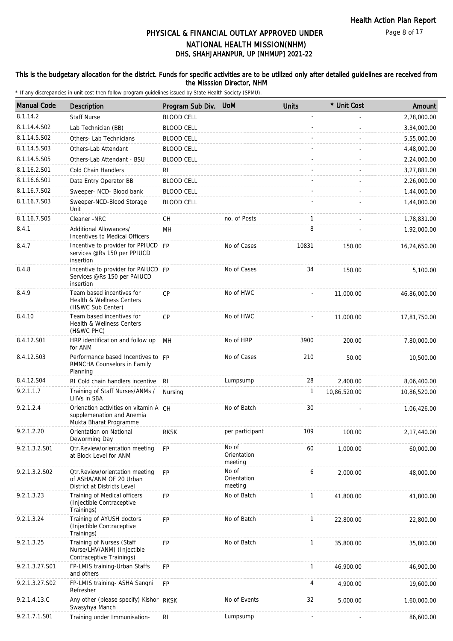#### Page 8 of 17

# DHS, SHAHJAHANPUR, UP [NHMUP] 2021-22 PHYSICAL & FINANCIAL OUTLAY APPROVED UNDER NATIONAL HEALTH MISSION(NHM)

### This is the budgetary allocation for the district. Funds for specific activities are to be utilized only after detailed guidelines are received from the Misssion Director, NHM

| <b>Manual Code</b> | <b>Description</b>                                                                           | Program Sub Div.  | <b>UoM</b>                      | <b>Units</b>             | * Unit Cost  | Amount       |
|--------------------|----------------------------------------------------------------------------------------------|-------------------|---------------------------------|--------------------------|--------------|--------------|
| 8.1.14.2           | <b>Staff Nurse</b>                                                                           | <b>BLOOD CELL</b> |                                 |                          |              | 2,78,000.00  |
| 8.1.14.4.S02       | Lab Technician (BB)                                                                          | <b>BLOOD CELL</b> |                                 |                          |              | 3,34,000.00  |
| 8.1.14.5.S02       | Others- Lab Technicians                                                                      | <b>BLOOD CELL</b> |                                 |                          |              | 5,55,000.00  |
| 8.1.14.5.S03       | Others-Lab Attendant                                                                         | <b>BLOOD CELL</b> |                                 |                          |              | 4,48,000.00  |
| 8.1.14.5.S05       | Others-Lab Attendant - BSU                                                                   | <b>BLOOD CELL</b> |                                 |                          |              | 2,24,000.00  |
| 8.1.16.2.S01       | Cold Chain Handlers                                                                          | RI                |                                 |                          |              | 3,27,881.00  |
| 8.1.16.6.S01       | Data Entry Operator BB                                                                       | <b>BLOOD CELL</b> |                                 |                          |              | 2,26,000.00  |
| 8.1.16.7.S02       | Sweeper- NCD- Blood bank                                                                     | <b>BLOOD CELL</b> |                                 |                          |              | 1,44,000.00  |
| 8.1.16.7.S03       | Sweeper-NCD-Blood Storage<br>Unit                                                            | <b>BLOOD CELL</b> |                                 |                          |              | 1,44,000.00  |
| 8.1.16.7.S05       | Cleaner -NRC                                                                                 | CН                | no. of Posts                    | 1                        |              | 1,78,831.00  |
| 8.4.1              | Additional Allowances/                                                                       | MH                |                                 | 8                        |              | 1,92,000.00  |
|                    | Incentives to Medical Officers                                                               |                   |                                 |                          |              |              |
| 8.4.7              | Incentive to provider for PPIUCD FP<br>services @Rs 150 per PPIUCD<br>insertion              |                   | No of Cases                     | 10831                    | 150.00       | 16,24,650.00 |
| 8.4.8              | Incentive to provider for PAIUCD FP<br>Services @Rs 150 per PAIUCD<br>insertion              |                   | No of Cases                     | 34                       | 150.00       | 5,100.00     |
| 8.4.9              | Team based incentives for<br>Health & Wellness Centers<br>(H&WC Sub Center)                  | <b>CP</b>         | No of HWC                       |                          | 11,000.00    | 46,86,000.00 |
| 8.4.10             | Team based incentives for<br>Health & Wellness Centers<br>(H&WC PHC)                         | <b>CP</b>         | No of HWC                       |                          | 11,000.00    | 17,81,750.00 |
| 8.4.12.S01         | HRP identification and follow up<br>for ANM                                                  | MH                | No of HRP                       | 3900                     | 200.00       | 7,80,000.00  |
| 8.4.12.S03         | Performance based Incentives to FP<br>RMNCHA Counselors in Family<br>Planning                |                   | No of Cases                     | 210                      | 50.00        | 10,500.00    |
| 8.4.12.S04         | RI Cold chain handlers incentive                                                             | RI.               | Lumpsump                        | 28                       | 2,400.00     | 8,06,400.00  |
| 9.2.1.1.7          | Training of Staff Nurses/ANMs /<br>LHVs in SBA                                               | Nursing           |                                 | 1                        | 10,86,520.00 | 10,86,520.00 |
| 9.2.1.2.4          | Orienation activities on vitamin A CH<br>supplemenation and Anemia<br>Mukta Bharat Programme |                   | No of Batch                     | 30                       |              | 1,06,426.00  |
| 9.2.1.2.20         | Orientation on National<br>Deworming Day                                                     | <b>RKSK</b>       | per participant                 | 109                      | 100.00       | 2,17,440.00  |
| 9.2.1.3.2.S01      | <b>Qtr.Review/orientation meeting</b><br>at Block Level for ANM                              | <b>FP</b>         | No of<br>Orientation<br>meeting | 60                       | 1,000.00     | 60,000.00    |
| 9.2.1.3.2.S02      | Otr.Review/orientation meeting<br>of ASHA/ANM OF 20 Urban<br>District at Districts Level     | FP                | No of<br>Orientation<br>meeting | 6                        | 2,000.00     | 48,000.00    |
| 9.2.1.3.23         | Training of Medical officers<br>(Injectible Contraceptive<br>Trainings)                      | <b>FP</b>         | No of Batch                     | $\mathbf{1}$             | 41,800.00    | 41,800.00    |
| 9.2.1.3.24         | Training of AYUSH doctors<br>(Injectible Contraceptive<br>Trainings)                         | FP                | No of Batch                     | $\mathbf{1}$             | 22,800.00    | 22,800.00    |
| 9.2.1.3.25         | Training of Nurses (Staff<br>Nurse/LHV/ANM) (Injectible<br>Contraceptive Trainings)          | <b>FP</b>         | No of Batch                     | 1                        | 35,800.00    | 35,800.00    |
| 9.2.1.3.27.S01     | FP-LMIS training-Urban Staffs<br>and others                                                  | FP                |                                 | $\mathbf{1}$             | 46,900.00    | 46,900.00    |
| 9.2.1.3.27.S02     | FP-LMIS training- ASHA Sangni<br>Refresher                                                   | <b>FP</b>         |                                 | 4                        | 4,900.00     | 19,600.00    |
| 9.2.1.4.13.C       | Any other (please specify) Kishor RKSK<br>Swasyhya Manch                                     |                   | No of Events                    | 32                       | 5,000.00     | 1,60,000.00  |
| 9.2.1.7.1.S01      | Training under Immunisation-                                                                 | $\mathsf{RI}$     | Lumpsump                        | $\overline{\phantom{a}}$ |              | 86,600.00    |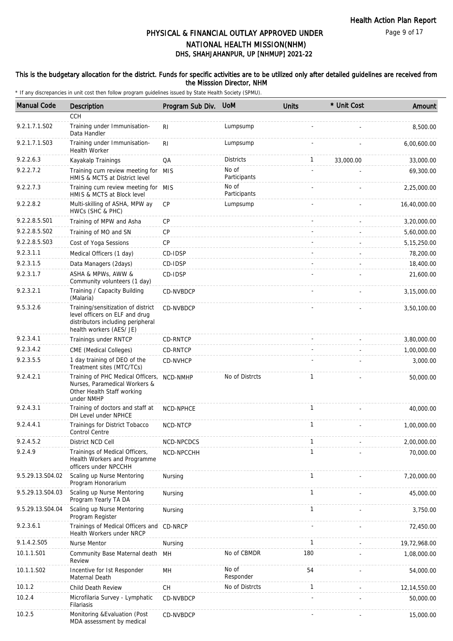#### Page 9 of 17

## DHS, SHAHJAHANPUR, UP [NHMUP] 2021-22 PHYSICAL & FINANCIAL OUTLAY APPROVED UNDER NATIONAL HEALTH MISSION(NHM)

### This is the budgetary allocation for the district. Funds for specific activities are to be utilized only after detailed guidelines are received from the Misssion Director, NHM

| <b>Manual Code</b> | Description                                                                                                                           | Program Sub Div. | <b>UoM</b>            | <b>Units</b> | * Unit Cost | Amount        |
|--------------------|---------------------------------------------------------------------------------------------------------------------------------------|------------------|-----------------------|--------------|-------------|---------------|
|                    | CCH                                                                                                                                   |                  |                       |              |             |               |
| 9.2.1.7.1.S02      | Training under Immunisation-<br>Data Handler                                                                                          | RI               | Lumpsump              |              |             | 8,500.00      |
| 9.2.1.7.1.S03      | Training under Immunisation-<br><b>Health Worker</b>                                                                                  | <b>RI</b>        | Lumpsump              |              |             | 6,00,600.00   |
| 9.2.2.6.3          | Kayakalp Trainings                                                                                                                    | QA               | <b>Districts</b>      | 1            | 33,000.00   | 33,000.00     |
| 9.2.2.7.2          | Training cum review meeting for MIS<br>HMIS & MCTS at District level                                                                  |                  | No of<br>Participants |              |             | 69,300.00     |
| 9.2.2.7.3          | Training cum review meeting for MIS<br>HMIS & MCTS at Block level                                                                     |                  | No of<br>Participants |              |             | 2,25,000.00   |
| 9.2.2.8.2          | Multi-skilling of ASHA, MPW ay<br>HWCs (SHC & PHC)                                                                                    | <b>CP</b>        | Lumpsump              |              |             | 16,40,000.00  |
| 9.2.2.8.5.S01      | Training of MPW and Asha                                                                                                              | <b>CP</b>        |                       |              |             | 3,20,000.00   |
| 9.2.2.8.5.S02      | Training of MO and SN                                                                                                                 | CP               |                       |              |             | 5,60,000.00   |
| 9.2.2.8.5.S03      | Cost of Yoga Sessions                                                                                                                 | <b>CP</b>        |                       |              |             | 5, 15, 250.00 |
| 9.2.3.1.1          | Medical Officers (1 day)                                                                                                              | CD-IDSP          |                       |              |             | 78,200.00     |
| 9.2.3.1.5          | Data Managers (2days)                                                                                                                 | CD-IDSP          |                       |              |             | 18,400.00     |
| 9.2.3.1.7          | ASHA & MPWs, AWW &<br>Community volunteers (1 day)                                                                                    | CD-IDSP          |                       |              |             | 21,600.00     |
| 9.2.3.2.1          | Training / Capacity Building<br>(Malaria)                                                                                             | CD-NVBDCP        |                       |              |             | 3,15,000.00   |
| 9.5.3.2.6          | Training/sensitization of district<br>level officers on ELF and drug<br>distributors including peripheral<br>health workers (AES/ JE) | CD-NVBDCP        |                       |              |             | 3,50,100.00   |
| 9.2.3.4.1          | Trainings under RNTCP                                                                                                                 | CD-RNTCP         |                       |              |             | 3,80,000.00   |
| 9.2.3.4.2          | CME (Medical Colleges)                                                                                                                | CD-RNTCP         |                       |              |             | 1,00,000.00   |
| 9.2.3.5.5          | 1 day training of DEO of the<br>Treatment sites (MTC/TCs)                                                                             | CD-NVHCP         |                       |              |             | 3,000.00      |
| 9.2.4.2.1          | Training of PHC Medical Officers,<br>Nurses, Paramedical Workers &<br>Other Health Staff working<br>under NMHP                        | NCD-NMHP         | No of Distrcts        | 1            |             | 50,000.00     |
| 9.2.4.3.1          | Training of doctors and staff at<br>DH Level under NPHCE                                                                              | NCD-NPHCE        |                       | $\mathbf{1}$ |             | 40,000.00     |
| 9.2.4.4.1          | Trainings for District Tobacco<br>Control Centre                                                                                      | NCD-NTCP         |                       | $\mathbf{1}$ |             | 1.00.000.00   |
| 9.2.4.5.2          | District NCD Cell                                                                                                                     | NCD-NPCDCS       |                       |              |             | 2,00,000.00   |
| 9.2.4.9            | Trainings of Medical Officers,<br>Health Workers and Programme<br>officers under NPCCHH                                               | NCD-NPCCHH       |                       | 1            |             | 70,000.00     |
| 9.5.29.13.S04.02   | Scaling up Nurse Mentoring<br>Program Honorarium                                                                                      | Nursing          |                       | $\mathbf{1}$ |             | 7,20,000.00   |
| 9.5.29.13.S04.03   | Scaling up Nurse Mentoring<br>Program Yearly TA DA                                                                                    | Nursing          |                       | $\mathbf{1}$ |             | 45,000.00     |
| 9.5.29.13.S04.04   | Scaling up Nurse Mentoring<br>Program Register                                                                                        | Nursing          |                       | $\mathbf{1}$ |             | 3,750.00      |
| 9.2.3.6.1          | Trainings of Medical Officers and<br>Health Workers under NRCP                                                                        | CD-NRCP          |                       |              |             | 72,450.00     |
| 9.1.4.2.S05        | <b>Nurse Mentor</b>                                                                                                                   | Nursing          |                       | $\mathbf{1}$ |             | 19,72,968.00  |
| 10.1.1.S01         | Community Base Maternal death<br>Review                                                                                               | MH               | No of CBMDR           | 180          |             | 1,08,000.00   |
| 10.1.1.S02         | Incentive for 1st Responder<br>Maternal Death                                                                                         | MH               | No of<br>Responder    | 54           |             | 54,000.00     |
| 10.1.2             | Child Death Review                                                                                                                    | CH               | No of Distrcts        | $\mathbf{1}$ |             | 12,14,550.00  |
| 10.2.4             | Microfilaria Survey - Lymphatic<br>Filariasis                                                                                         | CD-NVBDCP        |                       |              |             | 50,000.00     |
| 10.2.5             | Monitoring & Evaluation (Post<br>MDA assessment by medical                                                                            | CD-NVBDCP        |                       |              |             | 15,000.00     |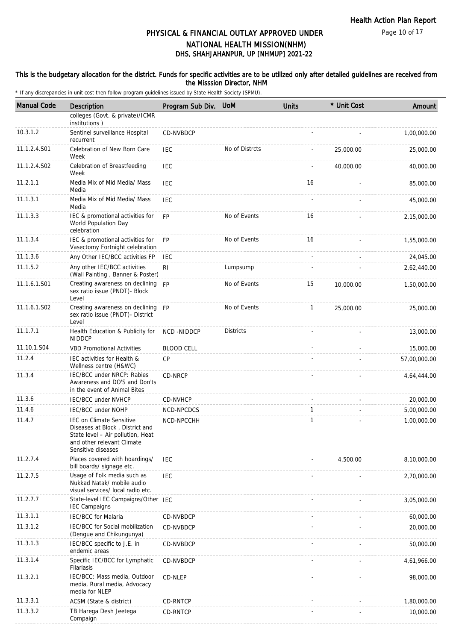#### This is the budgetary allocation for the district. Funds for specific activities are to be utilized only after detailed guidelines are received from the Misssion Director, NHM

| <b>Manual Code</b> | <b>Description</b>                                                                                                                                          | Program Sub Div. UoM |                  | <b>Units</b> | * Unit Cost | Amount       |
|--------------------|-------------------------------------------------------------------------------------------------------------------------------------------------------------|----------------------|------------------|--------------|-------------|--------------|
|                    | colleges (Govt. & private)/ICMR<br>institutions)                                                                                                            |                      |                  |              |             |              |
| 10.3.1.2           | Sentinel surveillance Hospital<br>recurrent                                                                                                                 | CD-NVBDCP            |                  |              |             | 1,00,000.00  |
| 11.1.2.4.S01       | Celebration of New Born Care<br>Week                                                                                                                        | IEC                  | No of Distrcts   |              | 25,000.00   | 25,000.00    |
| 11.1.2.4.S02       | Celebration of Breastfeeding<br>Week                                                                                                                        | IEC                  |                  |              | 40,000.00   | 40,000.00    |
| 11.2.1.1           | Media Mix of Mid Media/ Mass<br>Media                                                                                                                       | <b>IEC</b>           |                  | 16           |             | 85,000.00    |
| 11.1.3.1           | Media Mix of Mid Media/ Mass<br>Media                                                                                                                       | <b>IEC</b>           |                  |              |             | 45,000.00    |
| 11.1.3.3           | IEC & promotional activities for<br>World Population Day<br>celebration                                                                                     | <b>FP</b>            | No of Events     | 16           |             | 2,15,000.00  |
| 11.1.3.4           | IEC & promotional activities for<br>Vasectomy Fortnight celebration                                                                                         | <b>FP</b>            | No of Events     | 16           |             | 1,55,000.00  |
| 11.1.3.6           | Any Other IEC/BCC activities FP                                                                                                                             | <b>IEC</b>           |                  |              |             | 24,045.00    |
| 11.1.5.2           | Any other IEC/BCC activities<br>(Wall Painting, Banner & Poster)                                                                                            | R <sub>l</sub>       | Lumpsump         |              |             | 2,62,440.00  |
| 11.1.6.1.S01       | Creating awareness on declining<br>sex ratio issue (PNDT)- Block<br>Level                                                                                   | <b>FP</b>            | No of Events     | 15           | 10,000.00   | 1,50,000.00  |
| 11.1.6.1.S02       | Creating awareness on declining FP<br>sex ratio issue (PNDT)- District<br>Level                                                                             |                      | No of Events     | $\mathbf{1}$ | 25,000.00   | 25,000.00    |
| 11.1.7.1           | Health Education & Publicity for<br><b>NIDDCP</b>                                                                                                           | NCD-NIDDCP           | <b>Districts</b> |              |             | 13,000.00    |
| 11.10.1.S04        | <b>VBD Promotional Activities</b>                                                                                                                           | <b>BLOOD CELL</b>    |                  |              |             | 15,000.00    |
| 11.2.4             | IEC activities for Health &<br>Wellness centre (H&WC)                                                                                                       | CP                   |                  |              |             | 57,00,000.00 |
| 11.3.4             | IEC/BCC under NRCP: Rabies<br>Awareness and DO'S and Don'ts<br>in the event of Animal Bites                                                                 | CD-NRCP              |                  |              |             | 4,64,444.00  |
| 11.3.6             | <b>IEC/BCC under NVHCP</b>                                                                                                                                  | <b>CD-NVHCP</b>      |                  |              |             | 20,000.00    |
| 11.4.6             | <b>IEC/BCC under NOHP</b>                                                                                                                                   | NCD-NPCDCS           |                  | 1            |             | 5,00,000.00  |
| 11.4.7             | <b>IEC on Climate Sensitive</b><br>Diseases at Block, District and<br>State level – Air pollution, Heat<br>and other relevant Climate<br>Sensitive diseases | NCD-NPCCHH           |                  | $\mathbf{1}$ |             | 1,00,000.00  |
| 11.2.7.4           | Places covered with hoardings/<br>bill boards/ signage etc.                                                                                                 | <b>IEC</b>           |                  |              | 4,500.00    | 8,10,000.00  |
| 11.2.7.5           | Usage of Folk media such as<br>Nukkad Natak/ mobile audio<br>visual services/ local radio etc.                                                              | <b>IEC</b>           |                  |              |             | 2,70,000.00  |
| 11.2.7.7           | State-level IEC Campaigns/Other IEC<br><b>IEC Campaigns</b>                                                                                                 |                      |                  |              |             | 3,05,000.00  |
| 11.3.1.1           | <b>IEC/BCC</b> for Malaria                                                                                                                                  | CD-NVBDCP            |                  |              |             | 60,000.00    |
| 11.3.1.2           | IEC/BCC for Social mobilization<br>(Dengue and Chikungunya)                                                                                                 | CD-NVBDCP            |                  |              |             | 20,000.00    |
| 11.3.1.3           | IEC/BCC specific to J.E. in<br>endemic areas                                                                                                                | CD-NVBDCP            |                  |              |             | 50,000.00    |
| 11.3.1.4           | Specific IEC/BCC for Lymphatic<br>Filariasis                                                                                                                | CD-NVBDCP            |                  |              |             | 4,61,966.00  |
| 11.3.2.1           | IEC/BCC: Mass media, Outdoor<br>media, Rural media, Advocacy<br>media for NLEP                                                                              | CD-NLEP              |                  |              |             | 98,000.00    |
| 11.3.3.1           | ACSM (State & district)                                                                                                                                     | CD-RNTCP             |                  |              |             | 1,80,000.00  |
| 11.3.3.2           | TB Harega Desh Jeetega<br>Compaign                                                                                                                          | CD-RNTCP             |                  |              |             | 10,000.00    |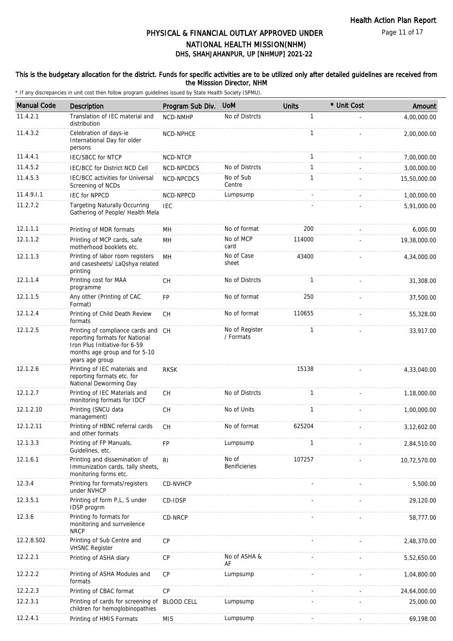Page 11 of 17

# DHS, SHAHJAHANPUR, UP [NHMUP] 2021-22 PHYSICAL & FINANCIAL OUTLAY APPROVED UNDER NATIONAL HEALTH MISSION(NHM)

### This is the budgetary allocation for the district. Funds for specific activities are to be utilized only after detailed guidelines are received from the Misssion Director, NHM

| <b>Manual Code</b> | Description                                                                                                                                                | Program Sub Div.  | <b>UoM</b>                    | <b>Units</b> | * Unit Cost | Amount       |
|--------------------|------------------------------------------------------------------------------------------------------------------------------------------------------------|-------------------|-------------------------------|--------------|-------------|--------------|
| 11.4.2.1           | Translation of IEC material and<br>distribution                                                                                                            | <b>NCD-NMHP</b>   | No of Distrcts                | $\mathbf{1}$ |             | 4,00,000.00  |
| 11.4.3.2           | Celebration of days-ie<br>International Day for older<br>persons                                                                                           | <b>NCD-NPHCE</b>  |                               | $\mathbf{1}$ |             | 2,00,000.00  |
| 11.4.4.1           | <b>IEC/SBCC for NTCP</b>                                                                                                                                   | NCD-NTCP          |                               | $\mathbf{1}$ |             | 7,00,000.00  |
| 11.4.5.2           | IEC/BCC for District NCD Cell                                                                                                                              | NCD-NPCDCS        | No of Distrcts                | $\mathbf{1}$ |             | 3,00,000.00  |
| 11.4.5.3           | IEC/BCC activities for Universal<br>Screening of NCDs                                                                                                      | NCD-NPCDCS        | No of Sub<br>Centre           | $\mathbf{1}$ |             | 15,50,000.00 |
| 11.4.9.1.1         | <b>IEC for NPPCD</b>                                                                                                                                       | NCD-NPPCD         | Lumpsump                      | $\sim$       |             | 1,00,000.00  |
| 11.2.7.2           | <b>Targeting Naturally Occurring</b><br>Gathering of People/ Health Mela                                                                                   | <b>IEC</b>        |                               |              |             | 5,91,000.00  |
| 12.1.1.1           | Printing of MDR formats                                                                                                                                    | MН                | No of format                  | 200          |             | 6,000.00     |
| 12.1.1.2           | Printing of MCP cards, safe<br>motherhood booklets etc.                                                                                                    | <b>MH</b>         | No of MCP<br>card             | 114000       |             | 19,38,000.00 |
| 12.1.1.3           | Printing of labor room registers<br>and casesheets/ LaQshya related<br>printing                                                                            | <b>MH</b>         | No of Case<br>sheet           | 43400        |             | 4,34,000.00  |
| 12.1.1.4           | Printing cost for MAA<br>programme                                                                                                                         | CH                | No of Distrcts                | $\mathbf{1}$ |             | 31,308.00    |
| 12.1.1.5           | Any other (Printing of CAC<br>Format)                                                                                                                      | FP                | No of format                  | 250          |             | 37,500.00    |
| 12.1.2.4           | Printing of Child Death Review<br>formats                                                                                                                  | <b>CH</b>         | No of format                  | 110655       |             | 55,328.00    |
| 12.1.2.5           | Printing of compliance cards and CH<br>reporting formats for National<br>Iron Plus Initiative-for 6-59<br>months age group and for 5-10<br>years age group |                   | No of Register<br>/ Formats   | $\mathbf{1}$ |             | 33,917.00    |
| 12.1.2.6           | Printing of IEC materials and<br>reporting formats etc. for<br>National Deworming Day                                                                      | <b>RKSK</b>       |                               | 15138        |             | 4,33,040.00  |
| 12.1.2.7           | Printing of IEC Materials and<br>monitoring formats for IDCF                                                                                               | <b>CH</b>         | No of Distrcts                | $\mathbf{1}$ |             | 1,18,000.00  |
| 12.1.2.10          | Printing (SNCU data<br>management)                                                                                                                         | <b>CH</b>         | No of Units                   | $\mathbf{1}$ |             | 1,00,000.00  |
| 12.1.2.11          | Printing of HBNC referral cards<br>and other formats                                                                                                       | <b>CH</b>         | No of format                  | 625204       |             | 3,12,602.00  |
| 12.1.3.3           | Printing of FP Manuals,<br>Guidelines, etc.                                                                                                                | FP                | Lumpsump                      | $\mathbf{1}$ |             | 2,84,510.00  |
| 12.1.6.1           | Printing and dissemination of<br>Immunization cards, tally sheets,<br>monitoring forms etc.                                                                | R <sub>l</sub>    | No of<br><b>Benificieries</b> | 107257       |             | 10,72,570.00 |
| 12.3.4             | Printing for formats/registers<br>under NVHCP                                                                                                              | CD-NVHCP          |                               |              |             | 5,500.00     |
| 12.3.5.1           | Printing of form P,L, S under<br>IDSP progrm                                                                                                               | CD-IDSP           |                               |              |             | 29,120.00    |
| 12.3.6             | Printing fo formats for<br>monitoring and surrveilence<br><b>NRCP</b>                                                                                      | CD-NRCP           |                               |              |             | 58,777.00    |
| 12.2.8.S02         | Printing of Sub Centre and<br><b>VHSNC Register</b>                                                                                                        | <b>CP</b>         |                               |              |             | 2,48,370.00  |
| 12.2.2.1           | Printing of ASHA diary                                                                                                                                     | <b>CP</b>         | No of ASHA &<br>AF            |              |             | 5,52,650.00  |
| 12.2.2.2           | Printing of ASHA Modules and<br>formats                                                                                                                    | <b>CP</b>         | Lumpsump                      |              |             | 1,04,800.00  |
| 12.2.2.3           | Printing of CBAC format                                                                                                                                    | CP                |                               |              |             | 24,64,000.00 |
| 12.2.3.1           | Printing of cards for screening of<br>children for hemoglobinopathies                                                                                      | <b>BLOOD CELL</b> | Lumpsump                      |              |             | 25,000.00    |
| 12.2.4.1           | Printing of HMIS Formats                                                                                                                                   | <b>MIS</b>        | Lumpsump                      |              |             | 69,198.00    |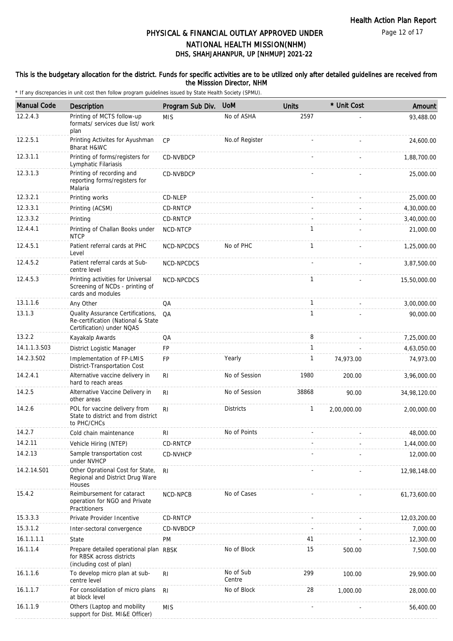Page 12 of 17

# DHS, SHAHJAHANPUR, UP [NHMUP] 2021-22 PHYSICAL & FINANCIAL OUTLAY APPROVED UNDER NATIONAL HEALTH MISSION(NHM)

#### This is the budgetary allocation for the district. Funds for specific activities are to be utilized only after detailed guidelines are received from the Misssion Director, NHM

| <b>Manual Code</b> | Description                                                                                          | Program Sub Div. | <b>UoM</b>          | <b>Units</b> | * Unit Cost | Amount       |
|--------------------|------------------------------------------------------------------------------------------------------|------------------|---------------------|--------------|-------------|--------------|
| 12.2.4.3           | Printing of MCTS follow-up<br>formats/ services due list/ work<br>plan                               | <b>MIS</b>       | No of ASHA          | 2597         |             | 93,488.00    |
| 12.2.5.1           | Printing Activites for Ayushman<br>Bharat H&WC                                                       | CP               | No.of Register      |              |             | 24,600.00    |
| 12.3.1.1           | Printing of forms/registers for<br>Lymphatic Filariasis                                              | CD-NVBDCP        |                     |              |             | 1,88,700.00  |
| 12.3.1.3           | Printing of recording and<br>reporting forms/registers for<br>Malaria                                | CD-NVBDCP        |                     |              |             | 25,000.00    |
| 12.3.2.1           | Printing works                                                                                       | CD-NLEP          |                     |              |             | 25,000.00    |
| 12.3.3.1           | Printing (ACSM)                                                                                      | CD-RNTCP         |                     |              |             | 4,30,000.00  |
| 12.3.3.2           | Printing                                                                                             | CD-RNTCP         |                     |              |             | 3,40,000.00  |
| 12.4.4.1           | Printing of Challan Books under<br><b>NTCP</b>                                                       | NCD-NTCP         |                     | 1            |             | 21,000.00    |
| 12.4.5.1           | Patient referral cards at PHC<br>Level                                                               | NCD-NPCDCS       | No of PHC           | $\mathbf{1}$ |             | 1,25,000.00  |
| 12.4.5.2           | Patient referral cards at Sub-<br>centre level                                                       | NCD-NPCDCS       |                     |              |             | 3,87,500.00  |
| 12.4.5.3           | Printing activities for Universal<br>Screening of NCDs - printing of<br>cards and modules            | NCD-NPCDCS       |                     | $\mathbf{1}$ |             | 15,50,000.00 |
| 13.1.1.6           | Any Other                                                                                            | QA               |                     | $\mathbf{1}$ |             | 3,00,000.00  |
| 13.1.3             | Quality Assurance Certifications,<br>Re-certification (National & State<br>Certification) under NQAS | QA               |                     | $\mathbf{1}$ |             | 90,000.00    |
| 13.2.2             | Kayakalp Awards                                                                                      | QA               |                     | 8            |             | 7,25,000.00  |
| 14.1.1.3.S03       | District Logistic Manager                                                                            | <b>FP</b>        |                     | $\mathbf{1}$ |             | 4,63,050.00  |
| 14.2.3.S02         | Implementation of FP-LMIS<br>District-Transportation Cost                                            | FP               | Yearly              | $\mathbf{1}$ | 74,973.00   | 74,973.00    |
| 14.2.4.1           | Alternative vaccine delivery in<br>hard to reach areas                                               | R <sub>l</sub>   | No of Session       | 1980         | 200.00      | 3,96,000.00  |
| 14.2.5             | Alternative Vaccine Delivery in<br>other areas                                                       | R <sub>l</sub>   | No of Session       | 38868        | 90.00       | 34,98,120.00 |
| 14.2.6             | POL for vaccine delivery from<br>State to district and from district<br>to PHC/CHCs                  | R <sub>l</sub>   | <b>Districts</b>    | $\mathbf{1}$ | 2,00,000.00 | 2,00,000.00  |
| 14.2.7             | Cold chain maintenance                                                                               | R <sub>l</sub>   | No of Points        |              |             | 48,000.00    |
| 14.2.11            | Vehicle Hiring (NTEP)                                                                                | CD-RNTCP         |                     |              |             | 1,44,000.00  |
| 14.2.13            | Sample transportation cost<br>under NVHCP                                                            | CD-NVHCP         |                     |              |             | 12,000.00    |
| 14.2.14.S01        | Other Oprational Cost for State,<br>Regional and District Drug Ware<br>Houses                        | R <sub>l</sub>   |                     |              |             | 12,98,148.00 |
| 15.4.2             | Reimbursement for cataract<br>operation for NGO and Private<br>Practitioners                         | <b>NCD-NPCB</b>  | No of Cases         |              |             | 61,73,600.00 |
| 15.3.3.3           | Private Provider Incentive                                                                           | CD-RNTCP         |                     |              |             | 12,03,200.00 |
| 15.3.1.2           | Inter-sectoral convergence                                                                           | CD-NVBDCP        |                     |              |             | 7,000.00     |
| 16.1.1.1.1         | State                                                                                                | PM               |                     | 41           |             | 12,300.00    |
| 16.1.1.4           | Prepare detailed operational plan RBSK<br>for RBSK across districts<br>(including cost of plan)      |                  | No of Block         | 15           | 500.00      | 7,500.00     |
| 16.1.1.6           | To develop micro plan at sub-<br>centre level                                                        | R <sub>1</sub>   | No of Sub<br>Centre | 299          | 100.00      | 29,900.00    |
| 16.1.1.7           | For consolidation of micro plans<br>at block level                                                   | <b>RI</b>        | No of Block         | 28           | 1,000.00    | 28,000.00    |
| 16.1.1.9           | Others (Laptop and mobility<br>support for Dist. MI&E Officer)                                       | <b>MIS</b>       |                     |              |             | 56,400.00    |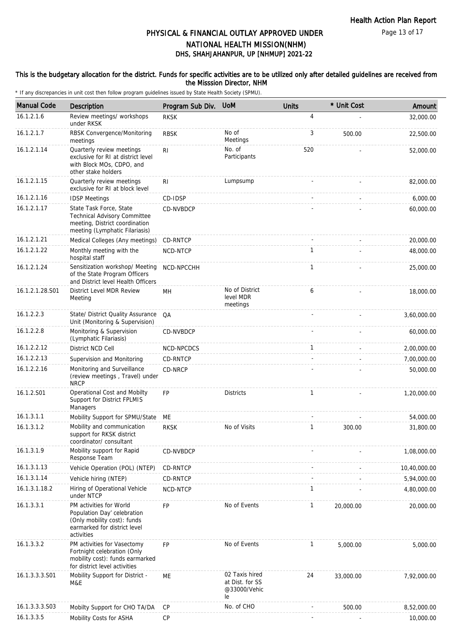### This is the budgetary allocation for the district. Funds for specific activities are to be utilized only after detailed guidelines are received from the Misssion Director, NHM

| <b>Manual Code</b> | Description                                                                                                                         | Program Sub Div. | <b>UoM</b>                                              | <b>Units</b> | * Unit Cost | Amount       |
|--------------------|-------------------------------------------------------------------------------------------------------------------------------------|------------------|---------------------------------------------------------|--------------|-------------|--------------|
| 16.1.2.1.6         | Review meetings/ workshops<br>under RKSK                                                                                            | <b>RKSK</b>      |                                                         | 4            |             | 32,000.00    |
| 16.1.2.1.7         | RBSK Convergence/Monitoring<br>meetings                                                                                             | <b>RBSK</b>      | No of<br>Meetings                                       | 3            | 500.00      | 22,500.00    |
| 16.1.2.1.14        | Quarterly review meetings<br>exclusive for RI at district level<br>with Block MOs, CDPO, and<br>other stake holders                 | RI.              | No. of<br>Participants                                  | 520          |             | 52,000.00    |
| 16.1.2.1.15        | Quarterly review meetings<br>exclusive for RI at block level                                                                        | R <sub>l</sub>   | Lumpsump                                                |              |             | 82,000.00    |
| 16.1.2.1.16        | <b>IDSP Meetings</b>                                                                                                                | CD-IDSP          |                                                         |              |             | 6,000.00     |
| 16.1.2.1.17        | State Task Force, State<br>Technical Advisory Committee<br>meeting, District coordination<br>meeting (Lymphatic Filariasis)         | CD-NVBDCP        |                                                         |              |             | 60,000.00    |
| 16.1.2.1.21        | Medical Colleges (Any meetings)                                                                                                     | CD-RNTCP         |                                                         |              |             | 20,000.00    |
| 16.1.2.1.22        | Monthly meeting with the<br>hospital staff                                                                                          | NCD-NTCP         |                                                         | $\mathbf{1}$ |             | 48,000.00    |
| 16.1.2.1.24        | Sensitization workshop/ Meeting<br>of the State Program Officers<br>and District level Health Officers                              | NCD-NPCCHH       |                                                         | $\mathbf{1}$ |             | 25,000.00    |
| 16.1.2.1.28.S01    | District Level MDR Review<br>Meeting                                                                                                | MH               | No of District<br>level MDR<br>meetings                 | 6            |             | 18,000.00    |
| 16.1.2.2.3         | State/ District Quality Assurance<br>Unit (Monitoring & Supervision)                                                                | QA               |                                                         |              |             | 3,60,000.00  |
| 16.1.2.2.8         | Monitoring & Supervision<br>(Lymphatic Filariasis)                                                                                  | CD-NVBDCP        |                                                         |              |             | 60,000.00    |
| 16.1.2.2.12        | District NCD Cell                                                                                                                   | NCD-NPCDCS       |                                                         | $\mathbf{1}$ |             | 2,00,000.00  |
| 16.1.2.2.13        | Supervision and Monitoring                                                                                                          | CD-RNTCP         |                                                         |              |             | 7,00,000.00  |
| 16.1.2.2.16        | Monitoring and Surveillance<br>(review meetings, Travel) under<br><b>NRCP</b>                                                       | CD-NRCP          |                                                         |              |             | 50,000.00    |
| 16.1.2.S01         | Operational Cost and Mobilty<br>Support for District FPLMIS<br>Managers                                                             | <b>FP</b>        | <b>Districts</b>                                        | $\mathbf{1}$ |             | 1,20,000.00  |
| 16.1.3.1.1         | Mobility Support for SPMU/State                                                                                                     | МE               |                                                         |              |             | 54,000.00    |
| 16.1.3.1.2         | Mobility and communication<br>support for RKSK district<br>coordinator/ consultant                                                  | <b>RKSK</b>      | No of Visits                                            | 1            | 300.00      | 31,800.00    |
| 16.1.3.1.9         | Mobility support for Rapid<br>Response Team                                                                                         | CD-NVBDCP        |                                                         |              |             | 1,08,000.00  |
| 16.1.3.1.13        | Vehicle Operation (POL) (NTEP)                                                                                                      | CD-RNTCP         |                                                         |              |             | 10,40,000.00 |
| 16.1.3.1.14        | Vehicle hiring (NTEP)                                                                                                               | CD-RNTCP         |                                                         |              |             | 5,94,000.00  |
| 16.1.3.1.18.2      | Hiring of Operational Vehicle<br>under NTCP                                                                                         | NCD-NTCP         |                                                         | 1            |             | 4,80,000.00  |
| 16.1.3.3.1         | PM activities for World<br>Population Day' celebration<br>(Only mobility cost): funds<br>earmarked for district level<br>activities | <b>FP</b>        | No of Events                                            | 1            | 20,000.00   | 20,000.00    |
| 16.1.3.3.2         | PM activities for Vasectomy<br>Fortnight celebration (Only<br>mobility cost): funds earmarked<br>for district level activities      | <b>FP</b>        | No of Events                                            | 1            | 5,000.00    | 5,000.00     |
| 16.1.3.3.3.S01     | Mobility Support for District -<br>M&E                                                                                              | МE               | 02 Taxis hired<br>at Dist. for SS<br>@33000/Vehic<br>le | 24           | 33,000.00   | 7,92,000.00  |
| 16.1.3.3.3.S03     | Mobilty Support for CHO TA/DA                                                                                                       | CP               | No. of CHO                                              |              | 500.00      | 8,52,000.00  |
| 16.1.3.3.5         | Mobility Costs for ASHA                                                                                                             | CP               |                                                         |              |             | 10,000.00    |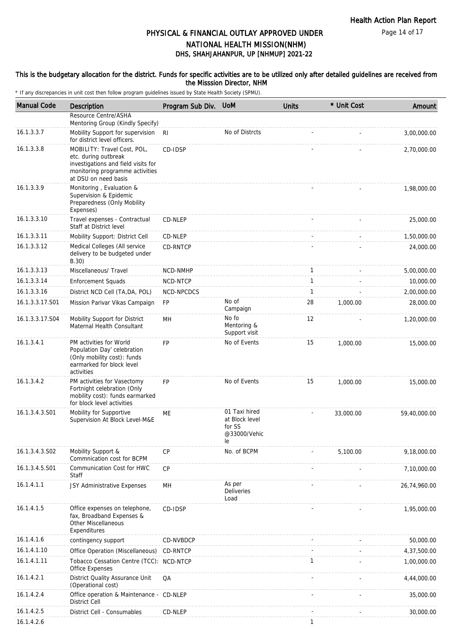Page 14 of 17

# DHS, SHAHJAHANPUR, UP [NHMUP] 2021-22 PHYSICAL & FINANCIAL OUTLAY APPROVED UNDER NATIONAL HEALTH MISSION(NHM)

#### This is the budgetary allocation for the district. Funds for specific activities are to be utilized only after detailed guidelines are received from the Misssion Director, NHM

| <b>Manual Code</b> | Description                                                                                                                                           | Program Sub Div. | <b>UoM</b>                                                      | <b>Units</b> | * Unit Cost | Amount       |
|--------------------|-------------------------------------------------------------------------------------------------------------------------------------------------------|------------------|-----------------------------------------------------------------|--------------|-------------|--------------|
|                    | Resource Centre/ASHA                                                                                                                                  |                  |                                                                 |              |             |              |
| 16.1.3.3.7         | Mentoring Group (Kindly Specify)<br>Mobility Support for supervision<br>for district level officers.                                                  | R <sub>l</sub>   | No of Distrcts                                                  |              |             | 3,00,000.00  |
| 16.1.3.3.8         | MOBILITY: Travel Cost, POL,<br>etc. during outbreak<br>investigations and field visits for<br>monitoring programme activities<br>at DSU on need basis | CD-IDSP          |                                                                 |              |             | 2,70,000.00  |
| 16.1.3.3.9         | Monitoring, Evaluation &<br>Supervision & Epidemic<br>Preparedness (Only Mobility<br>Expenses)                                                        |                  |                                                                 |              |             | 1,98,000.00  |
| 16.1.3.3.10        | Travel expenses - Contractual<br>Staff at District level                                                                                              | CD-NLEP          |                                                                 |              |             | 25,000.00    |
| 16.1.3.3.11        | Mobility Support: District Cell                                                                                                                       | CD-NLEP          |                                                                 |              |             | 1,50,000.00  |
| 16.1.3.3.12        | Medical Colleges (All service<br>delivery to be budgeted under<br>B.30)                                                                               | CD-RNTCP         |                                                                 |              |             | 24,000.00    |
| 16.1.3.3.13        | Miscellaneous/ Travel                                                                                                                                 | NCD-NMHP         |                                                                 | 1            |             | 5,00,000.00  |
| 16.1.3.3.14        | <b>Enforcement Squads</b>                                                                                                                             | NCD-NTCP         |                                                                 | 1            |             | 10,000.00    |
| 16.1.3.3.16        | District NCD Cell (TA,DA, POL)                                                                                                                        | NCD-NPCDCS       |                                                                 | $\mathbf{1}$ |             | 2,00,000.00  |
| 16.1.3.3.17.S01    | Mission Parivar Vikas Campaign                                                                                                                        | <b>FP</b>        | No of<br>Campaign                                               | 28           | 1,000.00    | 28,000.00    |
| 16.1.3.3.17.S04    | Mobility Support for District<br>Maternal Health Consultant                                                                                           | MH               | No fo<br>Mentoring &<br>Support visit                           | 12           |             | 1,20,000.00  |
| 16.1.3.4.1         | PM activities for World<br>Population Day' celebration<br>(Only mobility cost): funds<br>earmarked for block level<br>activities                      | <b>FP</b>        | No of Events                                                    | 15           | 1,000.00    | 15,000.00    |
| 16.1.3.4.2         | PM activities for Vasectomy<br>Fortnight celebration (Only<br>mobility cost): funds earmarked<br>for block level activities                           | <b>FP</b>        | No of Events                                                    | 15           | 1,000.00    | 15,000.00    |
| 16.1.3.4.3.S01     | Mobility for Supportive<br>Supervision At Block Level-M&E                                                                                             | ME               | 01 Taxi hired<br>at Block level<br>for SS<br>@33000/Vehic<br>le |              | 33,000.00   | 59,40,000.00 |
| 16.1.3.4.3.S02     | Mobility Support &<br>Commnication cost for BCPM                                                                                                      | CP               | No. of BCPM                                                     |              | 5,100.00    | 9,18,000.00  |
| 16.1.3.4.5.S01     | Communication Cost for HWC<br>Staff                                                                                                                   | CP               |                                                                 |              |             | 7,10,000.00  |
| 16.1.4.1.1         | JSY Administrative Expenses                                                                                                                           | MН               | As per<br><b>Deliveries</b><br>Load                             |              |             | 26,74,960.00 |
| 16.1.4.1.5         | Office expenses on telephone,<br>fax, Broadband Expenses &<br><b>Other Miscellaneous</b><br>Expenditures                                              | CD-IDSP          |                                                                 |              |             | 1,95,000.00  |
| 16.1.4.1.6         | contingency support                                                                                                                                   | CD-NVBDCP        |                                                                 |              |             | 50,000.00    |
| 16.1.4.1.10        | Office Operation (Miscellaneous)                                                                                                                      | CD-RNTCP         |                                                                 |              |             | 4,37,500.00  |
| 16.1.4.1.11        | Tobacco Cessation Centre (TCC): NCD-NTCP<br>Office Expenses                                                                                           |                  |                                                                 | $\mathbf{1}$ |             | 1,00,000.00  |
| 16.1.4.2.1         | District Quality Assurance Unit<br>(Operational cost)                                                                                                 | QA               |                                                                 |              |             | 4,44,000.00  |
| 16.1.4.2.4         | Office operation & Maintenance -<br><b>District Cell</b>                                                                                              | CD-NLEP          |                                                                 |              |             | 35,000.00    |
| 16.1.4.2.5         | District Cell - Consumables                                                                                                                           | CD-NLEP          |                                                                 |              |             | 30,000.00    |
| 16.1.4.2.6         |                                                                                                                                                       |                  |                                                                 | 1            |             |              |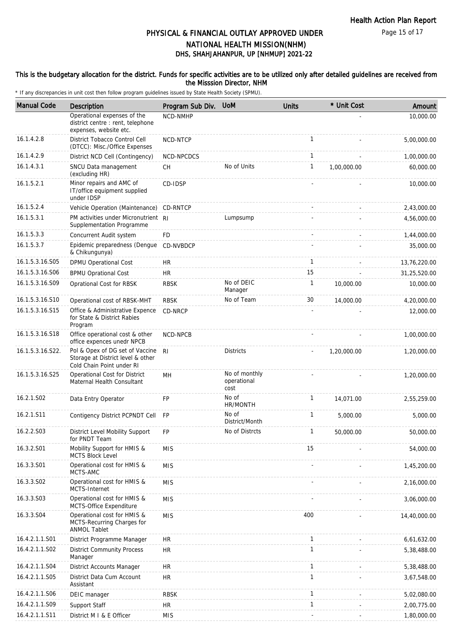Page 15 of 17

### DHS, SHAHJAHANPUR, UP [NHMUP] 2021-22 PHYSICAL & FINANCIAL OUTLAY APPROVED UNDER NATIONAL HEALTH MISSION(NHM)

#### This is the budgetary allocation for the district. Funds for specific activities are to be utilized only after detailed guidelines are received from the Misssion Director, NHM

| <b>Manual Code</b> | Description                                                                                       | Program Sub Div. | <b>UoM</b>                           | <b>Units</b> | * Unit Cost | Amount       |
|--------------------|---------------------------------------------------------------------------------------------------|------------------|--------------------------------------|--------------|-------------|--------------|
|                    | Operational expenses of the<br>district centre : rent, telephone<br>expenses, website etc.        | NCD-NMHP         |                                      |              |             | 10,000.00    |
| 16.1.4.2.8         | District Tobacco Control Cell<br>(DTCC): Misc./Office Expenses                                    | NCD-NTCP         |                                      | $\mathbf{1}$ |             | 5,00,000.00  |
| 16.1.4.2.9         | District NCD Cell (Contingency)                                                                   | NCD-NPCDCS       |                                      | $\mathbf{1}$ |             | 1,00,000.00  |
| 16.1.4.3.1         | SNCU Data management<br>(excluding HR)                                                            | <b>CH</b>        | No of Units                          | $\mathbf{1}$ | 1,00,000.00 | 60,000.00    |
| 16.1.5.2.1         | Minor repairs and AMC of<br>IT/office equipment supplied<br>under IDSP                            | CD-IDSP          |                                      |              |             | 10,000.00    |
| 16.1.5.2.4         | Vehicle Operation (Maintenance)                                                                   | CD-RNTCP         |                                      |              |             | 2,43,000.00  |
| 16.1.5.3.1         | PM activities under Micronutrient RI<br>Supplementation Programme                                 |                  | Lumpsump                             |              |             | 4,56,000.00  |
| 16.1.5.3.3         | Concurrent Audit system                                                                           | FD               |                                      |              |             | 1,44,000.00  |
| 16.1.5.3.7         | Epidemic preparedness (Dengue<br>& Chikungunya)                                                   | CD-NVBDCP        |                                      |              |             | 35,000.00    |
| 16.1.5.3.16.S05    | DPMU Operational Cost                                                                             | HR.              |                                      | $\mathbf{1}$ |             | 13,76,220.00 |
| 16.1.5.3.16.S06    | <b>BPMU Oprational Cost</b>                                                                       | <b>HR</b>        |                                      | 15           |             | 31,25,520.00 |
| 16.1.5.3.16.S09    | Oprational Cost for RBSK                                                                          | <b>RBSK</b>      | No of DEIC<br>Manager                | $\mathbf{1}$ | 10,000.00   | 10,000.00    |
| 16.1.5.3.16.S10    | Operational cost of RBSK-MHT                                                                      | <b>RBSK</b>      | No of Team                           | 30           | 14,000.00   | 4,20,000.00  |
| 16.1.5.3.16.S15    | Office & Administrative Expence<br>for State & District Rabies<br>Program                         | CD-NRCP          |                                      |              |             | 12,000.00    |
| 16.1.5.3.16.S18    | Office operational cost & other<br>office expences unedr NPCB                                     | NCD-NPCB         |                                      |              |             | 1,00,000.00  |
| 16.1.5.3.16.S22.   | Pol & Opex of DG set of Vaccine<br>Storage at District level & other<br>Cold Chain Point under RI | R <sub>l</sub>   | <b>Districts</b>                     |              | 1,20,000.00 | 1,20,000.00  |
| 16.1.5.3.16.S25    | Operational Cost for District<br>Maternal Health Consultant                                       | MH               | No of monthly<br>operational<br>cost |              |             | 1,20,000.00  |
| 16.2.1.S02         | Data Entry Operator                                                                               | FP               | No of<br>HR/MONTH                    | 1            | 14,071.00   | 2,55,259.00  |
| 16.2.1.S11         | Contigency District PCPNDT Cell                                                                   | <b>FP</b>        | No of<br>District/Month              | $\mathbf{1}$ | 5,000.00    | 5,000.00     |
| 16.2.2.S03         | District Level Mobility Support<br>for PNDT Team                                                  | FP               | No of Distrcts                       | 1            | 50,000.00   | 50,000.00    |
| 16.3.2.S01         | Mobility Support for HMIS &<br><b>MCTS Block Level</b>                                            | <b>MIS</b>       |                                      | 15           |             | 54,000.00    |
| 16.3.3.S01         | Operational cost for HMIS &<br>MCTS-AMC                                                           | <b>MIS</b>       |                                      |              |             | 1,45,200.00  |
| 16.3.3.S02         | Operational cost for HMIS &<br>MCTS-Internet                                                      | <b>MIS</b>       |                                      |              |             | 2,16,000.00  |
| 16.3.3.S03         | Operational cost for HMIS &<br>MCTS-Office Expenditure                                            | <b>MIS</b>       |                                      |              |             | 3,06,000.00  |
| 16.3.3.S04         | Operational cost for HMIS &<br>MCTS-Recurring Charges for<br><b>ANMOL Tablet</b>                  | <b>MIS</b>       |                                      | 400          |             | 14,40,000.00 |
| 16.4.2.1.1.S01     | District Programme Manager                                                                        | <b>HR</b>        |                                      | $\mathbf{1}$ |             | 6,61,632.00  |
| 16.4.2.1.1.S02     | <b>District Community Process</b><br>Manager                                                      | HR.              |                                      | 1            |             | 5,38,488.00  |
| 16.4.2.1.1.S04     | District Accounts Manager                                                                         | <b>HR</b>        |                                      | $\mathbf{1}$ |             | 5,38,488.00  |
| 16.4.2.1.1.S05     | District Data Cum Account<br>Assistant                                                            | HR.              |                                      | 1            |             | 3,67,548.00  |
| 16.4.2.1.1.S06     | DEIC manager                                                                                      | <b>RBSK</b>      |                                      | $\mathbf{1}$ |             | 5,02,080.00  |
| 16.4.2.1.1.S09     | Support Staff                                                                                     | HR.              |                                      | $\mathbf{1}$ |             | 2,00,775.00  |
| 16.4.2.1.1.S11     | District M I & E Officer                                                                          | <b>MIS</b>       |                                      |              |             | 1,80,000.00  |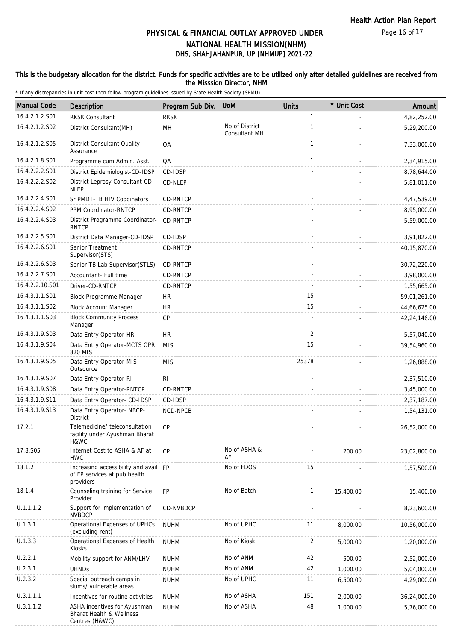### This is the budgetary allocation for the district. Funds for specific activities are to be utilized only after detailed guidelines are received from the Misssion Director, NHM

| <b>Manual Code</b> | Description                                                                        | Program Sub Div. | <b>UoM</b>                      | <b>Units</b> | * Unit Cost | Amount       |
|--------------------|------------------------------------------------------------------------------------|------------------|---------------------------------|--------------|-------------|--------------|
| 16.4.2.1.2.S01     | <b>RKSK Consultant</b>                                                             | <b>RKSK</b>      |                                 | $\mathbf{1}$ |             | 4,82,252.00  |
| 16.4.2.1.2.S02     | District Consultant(MH)                                                            | MH               | No of District<br>Consultant MH | $\mathbf{1}$ |             | 5,29,200.00  |
| 16.4.2.1.2.S05     | <b>District Consultant Quality</b><br>Assurance                                    | QA               |                                 | $\mathbf{1}$ |             | 7,33,000.00  |
| 16.4.2.1.8.S01     | Programme cum Admin. Asst.                                                         | QA               |                                 | $\mathbf{1}$ |             | 2,34,915.00  |
| 16.4.2.2.2.S01     | District Epidemiologist-CD-IDSP                                                    | CD-IDSP          |                                 |              |             | 8,78,644.00  |
| 16.4.2.2.2.S02     | District Leprosy Consultant-CD-<br><b>NLEP</b>                                     | CD-NLEP          |                                 |              |             | 5,81,011.00  |
| 16.4.2.2.4.S01     | Sr PMDT-TB HIV Coodinators                                                         | CD-RNTCP         |                                 |              |             | 4,47,539.00  |
| 16.4.2.2.4.S02     | PPM Coordinator-RNTCP                                                              | CD-RNTCP         |                                 |              |             | 8,95,000.00  |
| 16.4.2.2.4.S03     | District Programme Coordinator-<br><b>RNTCP</b>                                    | <b>CD-RNTCP</b>  |                                 |              |             | 5,59,000.00  |
| 16.4.2.2.5.S01     | District Data Manager-CD-IDSP                                                      | CD-IDSP          |                                 | $\sim$       |             | 3,91,822.00  |
| 16.4.2.2.6.S01     | Senior Treatment<br>Supervisor(STS)                                                | CD-RNTCP         |                                 |              |             | 40,15,870.00 |
| 16.4.2.2.6.S03     | Senior TB Lab Supervisor(STLS)                                                     | CD-RNTCP         |                                 | $\sim$       |             | 30,72,220.00 |
| 16.4.2.2.7.S01     | Accountant- Full time                                                              | CD-RNTCP         |                                 |              |             | 3,98,000.00  |
| 16.4.2.2.10.S01    | Driver-CD-RNTCP                                                                    | CD-RNTCP         |                                 |              |             | 1,55,665.00  |
| 16.4.3.1.1.S01     | <b>Block Programme Manager</b>                                                     | <b>HR</b>        |                                 | 15           |             | 59,01,261.00 |
| 16.4.3.1.1.S02     | <b>Block Account Manager</b>                                                       | <b>HR</b>        |                                 | 15           |             | 44,66,625.00 |
| 16.4.3.1.1.S03     | <b>Block Community Process</b><br>Manager                                          | <b>CP</b>        |                                 |              |             | 42,24,146.00 |
| 16.4.3.1.9.S03     | Data Entry Operator-HR                                                             | <b>HR</b>        |                                 | 2            |             | 5,57,040.00  |
| 16.4.3.1.9.S04     | Data Entry Operator-MCTS OPR<br>820 MIS                                            | <b>MIS</b>       |                                 | 15           |             | 39,54,960.00 |
| 16.4.3.1.9.S05     | Data Entry Operator-MIS<br>Outsource                                               | <b>MIS</b>       |                                 | 25378        |             | 1,26,888.00  |
| 16.4.3.1.9.S07     | Data Entry Operator-RI                                                             | RI               |                                 |              |             | 2,37,510.00  |
| 16.4.3.1.9.S08     | Data Entry Operator-RNTCP                                                          | CD-RNTCP         |                                 |              |             | 3,45,000.00  |
| 16.4.3.1.9.S11     | Data Entry Operator- CD-IDSP                                                       | CD-IDSP          |                                 |              |             | 2,37,187.00  |
| 16.4.3.1.9.S13     | Data Entry Operator- NBCP-<br><b>District</b>                                      | NCD-NPCB         |                                 |              |             | 1,54,131.00  |
| 17.2.1             | Telemedicine/ teleconsultation<br>facility under Ayushman Bharat<br>H&WC           | CP               |                                 |              |             | 26,52,000.00 |
| 17.8.S05           | Internet Cost to ASHA & AF at<br><b>HWC</b>                                        | <b>CP</b>        | No of ASHA &<br>AF              |              | 200.00      | 23,02,800.00 |
| 18.1.2             | Increasing accessibility and avail FP<br>of FP services at pub health<br>providers |                  | No of FDOS                      | 15           |             | 1,57,500.00  |
| 18.1.4             | Counseling training for Service<br>Provider                                        | <b>FP</b>        | No of Batch                     | $\mathbf{1}$ | 15,400.00   | 15,400.00    |
| U.1.1.1.2          | Support for implementation of<br><b>NVBDCP</b>                                     | CD-NVBDCP        |                                 |              |             | 8,23,600.00  |
| U.1.3.1            | Operational Expenses of UPHCs<br>(excluding rent)                                  | <b>NUHM</b>      | No of UPHC                      | 11           | 8,000.00    | 10,56,000.00 |
| U.1.3.3            | Operational Expenses of Health<br>Kiosks                                           | <b>NUHM</b>      | No of Kiosk                     | 2            | 5,000.00    | 1,20,000.00  |
| U.2.2.1            | Mobility support for ANM/LHV                                                       | <b>NUHM</b>      | No of ANM                       | 42           | 500.00      | 2,52,000.00  |
| U.2.3.1            | <b>UHNDs</b>                                                                       | <b>NUHM</b>      | No of ANM                       | 42           | 1,000.00    | 5,04,000.00  |
| U.2.3.2            | Special outreach camps in<br>slums/ vulnerable areas                               | <b>NUHM</b>      | No of UPHC                      | 11           | 6,500.00    | 4,29,000.00  |
| U.3.1.1.1          | Incentives for routine activities                                                  | <b>NUHM</b>      | No of ASHA                      | 151          | 2,000.00    | 36,24,000.00 |
| U.3.1.1.2          | ASHA incentives for Ayushman<br>Bharat Health & Wellness<br>Centres (H&WC)         | <b>NUHM</b>      | No of ASHA                      | 48           | 1,000.00    | 5,76,000.00  |